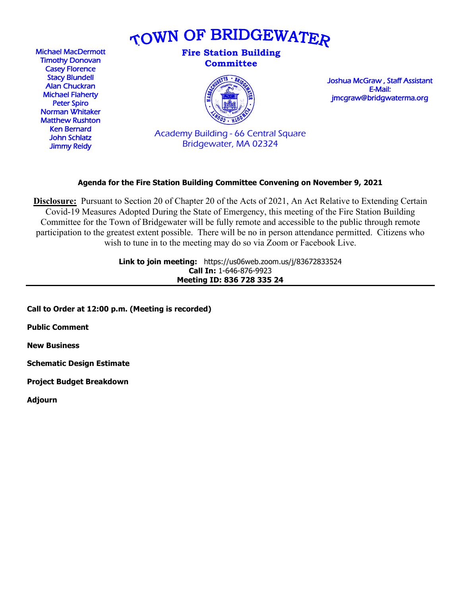

Michael MacDermott Timothy Donovan Casey Florence Stacy Blundell Alan Chuckran Michael Flaherty Peter Spiro Norman Whitaker Matthew Rushton Ken Bernard John Schlatz Jimmy Reidy

**Fire Station Building Committee**



Joshua McGraw , Staff Assistant E-Mail: jmcgraw@bridgwaterma.org

Academy Building - 66 Central Square Bridgewater, MA 02324

#### **Agenda for the Fire Station Building Committee Convening on November 9, 2021**

**Disclosure:** Pursuant to Section 20 of Chapter 20 of the Acts of 2021, An Act Relative to Extending Certain Covid-19 Measures Adopted During the State of Emergency, this meeting of the Fire Station Building Committee for the Town of Bridgewater will be fully remote and accessible to the public through remote participation to the greatest extent possible. There will be no in person attendance permitted. Citizens who wish to tune in to the meeting may do so via Zoom or Facebook Live.

> **Link to join meeting:** https://us06web.zoom.us/j/83672833524 **Call In:** 1-646-876-9923 **Meeting ID: 836 728 335 24**

**Call to Order at 12:00 p.m. (Meeting is recorded)**

**Public Comment**

**New Business**

**Schematic Design Estimate**

**Project Budget Breakdown**

**Adjourn**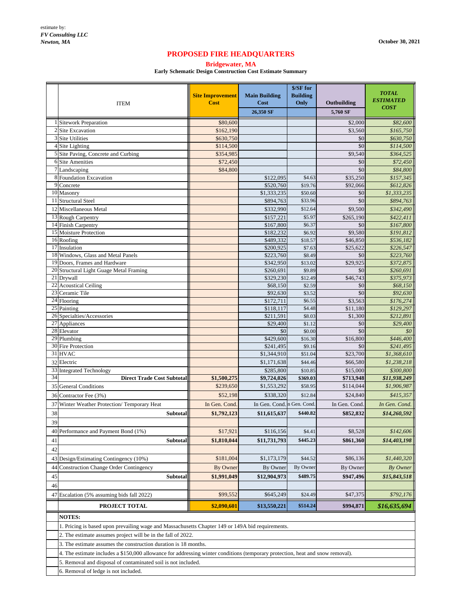|    | <b>ITEM</b>                                                                                                                    | <b>Site Improvement</b><br><b>Cost</b> | <b>Main Building</b><br><b>Cost</b> | \$/SF for<br><b>Building</b><br>Only | Outbuilding         | <b>TOTAL</b><br><b>ESTIMATED</b><br><b>COST</b> |  |  |  |
|----|--------------------------------------------------------------------------------------------------------------------------------|----------------------------------------|-------------------------------------|--------------------------------------|---------------------|-------------------------------------------------|--|--|--|
|    |                                                                                                                                |                                        | 26,350 SF                           |                                      | 5,760 SF            |                                                 |  |  |  |
|    | <b>Sitework Preparation</b>                                                                                                    | \$80,600                               |                                     |                                      | \$2,000             | \$82,600                                        |  |  |  |
|    | <b>Site Excavation</b>                                                                                                         | \$162,190                              |                                     |                                      | \$3,560             | \$165,750                                       |  |  |  |
|    | 3 Site Utilities                                                                                                               | \$630,750                              |                                     |                                      | \$0                 | \$630,750                                       |  |  |  |
|    | $4$ Site Lighting                                                                                                              | \$114,500                              |                                     |                                      | \$0                 | \$114,500                                       |  |  |  |
|    | 5 Site Paving, Concrete and Curbing                                                                                            | \$354,985                              |                                     |                                      | \$9,540             | \$364,525                                       |  |  |  |
|    | 6 Site Amenities                                                                                                               | \$72,450                               |                                     |                                      | \$0                 | \$72,450                                        |  |  |  |
|    | 7 Landscaping                                                                                                                  | \$84,800                               |                                     |                                      | \$0                 | \$84,800                                        |  |  |  |
|    | 8 Foundation Excavation                                                                                                        |                                        | \$122,095                           | \$4.63                               | \$35,250            | \$157,345                                       |  |  |  |
|    | 9 Concrete                                                                                                                     |                                        | \$520,760                           | \$19.76                              | \$92,066            | \$612,826                                       |  |  |  |
|    | 10 Masonry<br>11 Structural Steel                                                                                              |                                        | \$1,333,235<br>\$894,763            | \$50.60<br>\$33.96                   | \$0<br>\$0          | \$1,333,235<br>\$894,763                        |  |  |  |
|    | 12 Miscellaneous Metal                                                                                                         |                                        | \$332,990                           | \$12.64                              | \$9,500             | \$342,490                                       |  |  |  |
|    | 13 Rough Carpentry                                                                                                             |                                        | \$157,221                           | \$5.97                               | \$265,190           |                                                 |  |  |  |
|    | 14 Finish Carpentry                                                                                                            |                                        | \$167,800                           | \$6.37                               | \$0                 | \$422,411<br>\$167,800                          |  |  |  |
|    | 15 Moisture Protection                                                                                                         |                                        | \$182,232                           | \$6.92                               | \$9,580             | \$191,812                                       |  |  |  |
|    | 16 Roofing                                                                                                                     |                                        | \$489,332                           | \$18.57                              | \$46,850            | \$536,182                                       |  |  |  |
|    | 17 Insulation                                                                                                                  |                                        | \$200,925                           | \$7.63                               | \$25,622            | \$226,547                                       |  |  |  |
|    | 18 Windows, Glass and Metal Panels                                                                                             |                                        | \$223,760                           | \$8.49                               | \$0                 | \$223,760                                       |  |  |  |
|    | 19 Doors, Frames and Hardware                                                                                                  |                                        | \$342,950                           | \$13.02                              | \$29,925            | \$372,875                                       |  |  |  |
|    | Structural Light Guage Metal Framing                                                                                           |                                        | \$260,691                           | \$9.89                               | \$0                 | \$260,691                                       |  |  |  |
|    | 21 Drywall                                                                                                                     |                                        | \$329,230                           | \$12.49                              | \$46,743            | \$375,973                                       |  |  |  |
| 22 | <b>Acoustical Ceiling</b>                                                                                                      |                                        | \$68,150                            | \$2.59                               | \$0                 | \$68,150                                        |  |  |  |
|    | 23 Ceramic Tile                                                                                                                |                                        | \$92,630                            | \$3.52                               | \$0                 | \$92,630                                        |  |  |  |
|    | 24 Flooring<br>$25$ Painting                                                                                                   |                                        | \$172,711<br>\$118,117              | \$6.55                               | \$3,563<br>\$11,180 | \$176,274                                       |  |  |  |
|    | 26 Specialties/Accessories                                                                                                     |                                        | \$211,591                           | \$4.48<br>\$8.03                     | \$1,300             | \$129,297<br>\$212,891                          |  |  |  |
|    | Appliances                                                                                                                     |                                        | \$29,400                            | \$1.12                               | \$0                 | \$29,400                                        |  |  |  |
|    | 28 Elevator                                                                                                                    |                                        | \$0                                 | \$0.00                               | \$0                 | \$0                                             |  |  |  |
|    | 29 Plumbing                                                                                                                    |                                        | \$429,600                           | \$16.30                              | \$16,800            | \$446,400                                       |  |  |  |
|    | 30 Fire Protection                                                                                                             |                                        | \$241,495                           | \$9.16                               | \$0                 | \$241,495                                       |  |  |  |
|    | 31 HVAC                                                                                                                        |                                        | \$1,344,910                         | \$51.04                              | \$23,700            | \$1,368,610                                     |  |  |  |
|    | 32 Electric                                                                                                                    |                                        | \$1,171,638                         | \$44.46                              | \$66,580            | \$1,238,218                                     |  |  |  |
|    | 33 Integrated Technology                                                                                                       |                                        | \$285,800                           | \$10.85                              | \$15,000            | \$300,800                                       |  |  |  |
| 34 | <b>Direct Trade Cost Subtotal</b>                                                                                              | \$1,500,275                            | \$9,724,026                         | \$369.03                             | \$713,948           | \$11,938,249                                    |  |  |  |
|    | 35 General Conditions                                                                                                          | \$239,650                              | \$1,553,292                         | \$58.95                              | \$114,044           | \$1,906,987                                     |  |  |  |
|    | 36 Contractor Fee (3%)                                                                                                         | \$52,198                               | \$338,320                           | \$12.84                              | \$24,840            | \$415,357                                       |  |  |  |
|    | 37 Winter Weather Protection/ Temporary Heat                                                                                   | In Gen. Cond.                          | In Gen. Cond. n Gen. Cond.          |                                      | In Gen. Cond.       | In Gen. Cond.                                   |  |  |  |
| 38 | <b>Subtotal</b>                                                                                                                | \$1,792,123                            | \$11,615,637                        | \$440.82                             | \$852,832           | \$14,260,592                                    |  |  |  |
| 39 |                                                                                                                                |                                        |                                     |                                      |                     |                                                 |  |  |  |
|    | 40 Performance and Payment Bond (1%)                                                                                           | \$17,921                               | \$116,156                           | \$4.41                               | \$8,528             | \$142,606                                       |  |  |  |
| 41 | <b>Subtotal</b>                                                                                                                | \$1,810,044                            | \$11,731,793                        | \$445.23                             | \$861,360           | \$14,403,198                                    |  |  |  |
|    |                                                                                                                                |                                        |                                     |                                      |                     |                                                 |  |  |  |
| 42 |                                                                                                                                |                                        |                                     |                                      |                     |                                                 |  |  |  |
|    | 43 Design/Estimating Contingency (10%)                                                                                         | \$181,004                              | \$1,173,179                         | \$44.52                              | \$86,136            | \$1,440,320                                     |  |  |  |
|    | 44 Construction Change Order Contingency                                                                                       | <b>By Owner</b>                        | By Owner                            | By Owner                             | By Owner            | By Owner                                        |  |  |  |
| 45 | <b>Subtotal</b>                                                                                                                | \$1,991,049                            | \$12,904,973                        | \$489.75                             | \$947,496           | \$15,843,518                                    |  |  |  |
| 46 |                                                                                                                                |                                        |                                     |                                      |                     |                                                 |  |  |  |
|    | 47 Escalation (5% assuming bids fall 2022)                                                                                     | \$99,552                               | \$645,249                           | \$24.49                              | \$47,375            | \$792,176                                       |  |  |  |
|    | <b>PROJECT TOTAL</b>                                                                                                           | \$2,090,601                            | \$13,550,221                        | \$514.24                             | \$994,871           | \$16,635,694                                    |  |  |  |
|    | <b>NOTES:</b>                                                                                                                  |                                        |                                     |                                      |                     |                                                 |  |  |  |
|    | 1. Pricing is based upon prevailing wage and Massachusetts Chapter 149 or 149A bid requirements.                               |                                        |                                     |                                      |                     |                                                 |  |  |  |
|    | 2. The estimate assumes project will be in the fall of 2022.                                                                   |                                        |                                     |                                      |                     |                                                 |  |  |  |
|    | 3. The estimate assumes the construction duration is 18 months.                                                                |                                        |                                     |                                      |                     |                                                 |  |  |  |
|    | 4. The estimate includes a \$150,000 allowance for addressing winter conditions (temporary protection, heat and snow removal). |                                        |                                     |                                      |                     |                                                 |  |  |  |
|    | 5. Removal and disposal of contaminated soil is not included.                                                                  |                                        |                                     |                                      |                     |                                                 |  |  |  |
|    | 6. Removal of ledge is not included.                                                                                           |                                        |                                     |                                      |                     |                                                 |  |  |  |

## **PROPOSED FIRE HEADQUARTERS**

**Bridgewater, MA**

**Early Schematic Design Construction Cost Estimate Summary**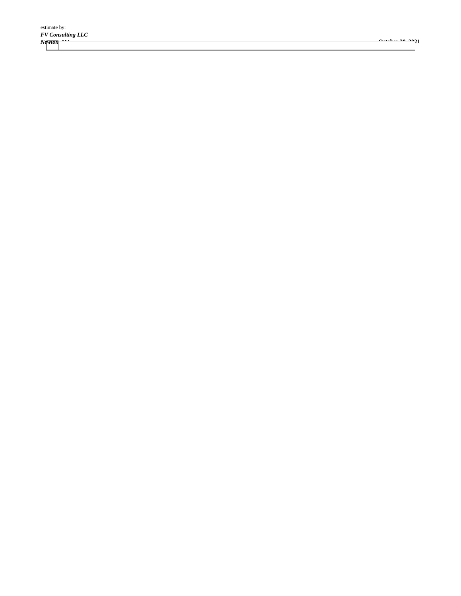estimate by: *FV Consulting LLC*

*Newton, MA* **October 30, 2021**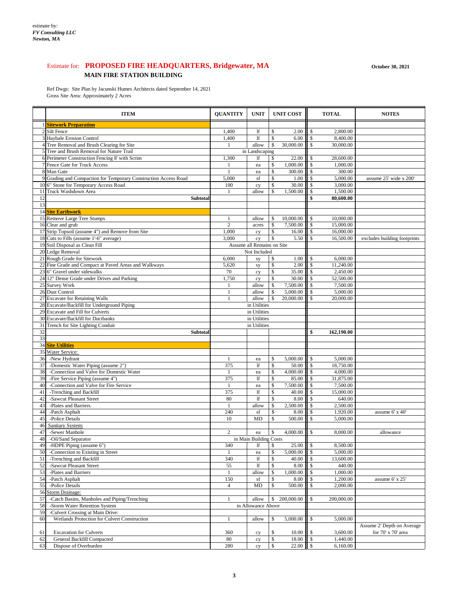Ref Dwgs: Site Plan by Jacunski Humes Architects dated September 14, 2021 Gross Site Area: Approximately 2 Acres

|                 | <b>ITEM</b>                                                                             | <b>QUANTITY</b> | <b>UNIT</b>                      |                               | <b>UNIT COST</b> |                                | <b>TOTAL</b>           | <b>NOTES</b>                 |
|-----------------|-----------------------------------------------------------------------------------------|-----------------|----------------------------------|-------------------------------|------------------|--------------------------------|------------------------|------------------------------|
|                 | <b>Sitework Preparation</b>                                                             |                 |                                  |                               |                  |                                |                        |                              |
|                 | Silt Fence                                                                              | 1,400           | 1f                               | \$                            | 2.00             | \$                             | 2,800.00               |                              |
|                 | 3 Haybale Erosion Control                                                               | 1,400           | 1f                               | \$                            | 6.00             | \$                             | 8,400.00               |                              |
|                 | 4 Tree Removal and Brush Clearing for Site<br>5 Tree and Brush Removal for Nature Trail | 1               | allow                            | \$                            | 30,000.00        | $\mathbb{S}$                   | 30,000.00              |                              |
|                 | 6 Perimeter Construction Fencing 8' with Scrim                                          | 1,300           | in Landscaping<br>lf             | \$                            | 22.00            | \$                             | 28,600.00              |                              |
|                 | 7 Fence Gate for Truck Access                                                           |                 | ea                               | \$                            | 1,000.00         | $\boldsymbol{\mathsf{S}}$      | 1,000.00               |                              |
|                 | 8 Man Gate                                                                              |                 | ea                               | \$                            | 300.00           | $\mathcal{S}$                  | 300.00                 |                              |
|                 | 9 Grading and Compaction for Temporary Construction Access Road                         | 5,000           | sf                               | \$                            | 1.00             | $\mathcal{S}$                  | 5,000.00               | assume 25' wide x 200'       |
|                 | 10 6" Stone for Temporary Access Road                                                   | 100             | cy                               | \$                            | 30.00            | $\mathbb{S}$                   | 3,000.00               |                              |
|                 | 11 Truck Washdown Area                                                                  |                 | allow                            | \$                            | 1,500.00         | $\mathbb{S}$                   | 1,500.00               |                              |
| 12              | <b>Subtotal</b>                                                                         |                 |                                  |                               |                  | \$                             | 80,600.00              |                              |
| $\overline{13}$ |                                                                                         |                 |                                  |                               |                  |                                |                        |                              |
|                 | 14 Site Earthwork                                                                       |                 |                                  |                               |                  |                                |                        |                              |
|                 | 15 Remove Large Tree Stumps                                                             |                 | allow                            | \$                            | 10,000.00        | $\mathbb{S}$                   | 10,000.00              |                              |
|                 | 16 Clear and grub                                                                       | $\overline{2}$  | acres                            | \$                            | 7,500.00         | $\mathcal{S}$                  | 15,000.00              |                              |
|                 | 17 Strip Topsoil (assume 4") and Remove from Site                                       | 1,000<br>3,000  | cy                               | $\mathbb{S}$<br>$\mathcal{S}$ | 16.00<br>5.50    | $\mathsf{\$}$<br>$\mathcal{S}$ | 16,000.00<br>16,500.00 |                              |
|                 | 18 Cuts to Fills (assume 1'-6" average)<br>19 Soil Disposal as Clean Fill               |                 | cy<br>Assume all Remains on Site |                               |                  |                                |                        | excludes building footprints |
|                 | 20 Ledge Removal                                                                        |                 | Not Included                     |                               |                  |                                |                        |                              |
|                 | 21 Rough Grade for Sitework                                                             | 6,000           | sy                               | \$                            | 1.00             | $\mathcal{S}$                  | 6,000.00               |                              |
|                 | 22 Fine Grade and Compact at Paved Areas and Walkways                                   | 5,620           | sy                               | \$                            | 2.00             | $\mathcal{S}$                  | 11,240.00              |                              |
|                 | $23 6$ " Gravel under sidewalks                                                         | 70              | cy                               | $\mathcal{S}$                 | 35.00            | $\mathcal{S}$                  | 2,450.00               |                              |
|                 | 24 12" Dense Grade under Drives and Parking                                             | 1,750           | cy                               | \$                            | 30.00            | $\mathbb{S}$                   | 52,500.00              |                              |
|                 | 25 Survey Work                                                                          |                 | allow                            | \$                            | 7,500.00         | $\mathcal{S}$                  | 7,500.00               |                              |
|                 | 26 Dust Control                                                                         |                 | allow                            | \$                            | 5,000.00         | $\mathcal{S}$                  | 5,000.00               |                              |
|                 | 27 Excavate for Retaining Walls                                                         |                 | allow                            |                               | 20,000.00        | $\mathbf{\hat{S}}$             | 20,000.00              |                              |
|                 | 28 Excavate/Backfill for Underground Piping                                             |                 | in Utilities                     |                               |                  |                                |                        |                              |
|                 | 29 Excavate and Fill for Culverts                                                       |                 | in Utilities                     |                               |                  |                                |                        |                              |
|                 | 30 Excavate/Backfill for Ductbanks                                                      |                 | in Utilities                     |                               |                  |                                |                        |                              |
| 32              | 31 Trench for Site Lighting Conduit<br><b>Subtotal</b>                                  |                 | in Utilities                     |                               |                  | \$                             | 162,190.00             |                              |
| 33              |                                                                                         |                 |                                  |                               |                  |                                |                        |                              |
|                 | 34 Site Utilities                                                                       |                 |                                  |                               |                  |                                |                        |                              |
|                 | 35 Water Service:                                                                       |                 |                                  |                               |                  |                                |                        |                              |
| 36              | -New Hydrant                                                                            |                 | ea                               | \$                            | 5,000.00         | $\mathcal{S}$                  | 5,000.00               |                              |
| 37              | -Domestic Water Piping (assume 2")                                                      | 375             | 1f                               | \$                            | 50.00            | $\boldsymbol{\mathsf{S}}$      | 18,750.00              |                              |
| 38              | -Connection and Valve for Domestic Water                                                | 1               | ea                               | \$                            | 4,000.00         | \$                             | 4,000.00               |                              |
| 39              | -Fire Service Piping (assume 4")                                                        | 375             | lf                               | \$                            | 85.00            | $\mathcal{S}$                  | 31,875.00              |                              |
| 40              | -Connection and Valve for Fire Service                                                  | $\mathbf{1}$    | ea                               | \$                            | 7,500.00         | $\mathbb{S}$                   | 7,500.00               |                              |
| 41              | -Trenching and Backfill                                                                 | 375             | $_{\rm l f}$                     | \$                            | 40.00            | \$                             | 15,000.00              |                              |
| 42<br>43        | -Sawcut Pleasant Street<br>-Plates and Barriers                                         | 80              | $\mathbf{If}$<br>allow           | \$<br>\$                      | 8.00<br>2,500.00 | \$<br>$\mathsf{\$}$            | 640.00<br>2,500.00     |                              |
| 44              | -Patch Asphalt                                                                          | 240             | sf                               | \$                            | 8.00             | \$                             | 1,920.00               | assume 6' x 40'              |
| 45              | -Police Details                                                                         | 10              | <b>MD</b>                        | \$                            | 500.00           | $\mathbb{S}$                   | 5,000.00               |                              |
|                 | <b>Sanitary System:</b>                                                                 |                 |                                  |                               |                  |                                |                        |                              |
| 47              | -Sewer Manhole                                                                          | 2               | ea                               | \$                            | 4,000.00         | $\sqrt$                        | 8,000.00               | allowance                    |
| 48              | -Oil/Sand Separator                                                                     |                 | in Main Building Costs           |                               |                  |                                |                        |                              |
| 49              | -HDPE Piping (assume 6")                                                                | 340             | lf                               | \$                            | 25.00            | $\boldsymbol{\mathsf{S}}$      | 8,500.00               |                              |
| 50              | -Connection to Existing in Street                                                       | $\mathbf{1}$    | ea                               | \$                            | 5,000.00         | $\mathsf{\$}$                  | 5,000.00               |                              |
| 51              | -Trenching and Backfill                                                                 | 340             | 1f                               | \$                            | 40.00            | $\boldsymbol{\mathsf{S}}$      | 13,600.00              |                              |
| 52              | -Sawcut Pleasant Street                                                                 | 55              | 1f                               | \$                            | 8.00             | $\mathbb{S}$                   | 440.00                 |                              |
| 53              | -Plates and Barriers                                                                    |                 | allow                            | \$                            | 1,000.00         | \$                             | 1,000.00               |                              |
| 54<br>55        | -Patch Asphalt                                                                          | 150             | $\sqrt{\text{sf}}$               | \$                            | 8.00             | \$                             | 1,200.00               | assume 6' x 25'              |
|                 | -Police Details<br>56 Storm Drainage:                                                   | $\overline{4}$  | <b>MD</b>                        | \$                            | 500.00           | $\mathbb{S}$                   | 2,000.00               |                              |
| 57              | -Catch Basins, Manholes and Piping/Trenching                                            | -1              | allow                            | \$                            | 200,000.00       | $\mathcal{S}$                  | 200,000.00             |                              |
| 58              | -Storm Water Retention System                                                           |                 | in Allowance Above               |                               |                  |                                |                        |                              |
| 59              | -Culvert Crossing at Main Drive:                                                        |                 |                                  |                               |                  |                                |                        |                              |
| 60              | Wetlands Protection for Culvert Construction                                            | 1               | allow                            | \$                            | 5,000.00         | $\boldsymbol{\mathsf{S}}$      | 5,000.00               |                              |
|                 |                                                                                         |                 |                                  |                               |                  |                                |                        | Assume 2' Depth on Average   |
| 61              | <b>Excavation for Culverts</b>                                                          | 360             | cy                               | \$                            | 10.00            | \$                             | 3,600.00               | for 70' x 70' area           |
| 62              | General Backfill Compacted                                                              | 80              | cy                               | \$                            | 18.00            | $\sqrt$                        | 1,440.00               |                              |
| 63              | Dispose of Overburden                                                                   | 280             | cy                               | \$                            | 22.00            | $\mathcal{S}$                  | 6,160.00               |                              |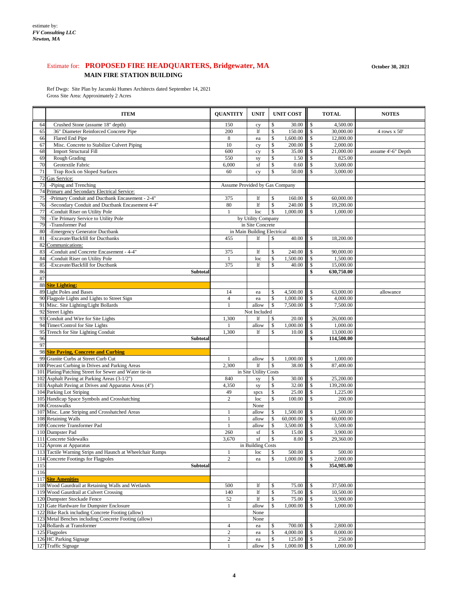### Estimate for: PROPOSED FIRE HEADQUARTERS, Bridgewater, MA MAIN FIRE STATION BUILDING

October 30, 2021

Ref Dwgs: Site Plan by Jacunski Humes Architects dated September 14, 2021 Gross Site Area: Approximately 2 Acres

|     | <b>ITEM</b>                                                             | <b>QUANTITY</b>                | <b>UNIT</b>                 |               | <b>UNIT COST</b>  |                                 | <b>TOTAL</b>          | <b>NOTES</b>       |
|-----|-------------------------------------------------------------------------|--------------------------------|-----------------------------|---------------|-------------------|---------------------------------|-----------------------|--------------------|
| 64  | Crushed Stone (assume 18" depth)                                        | 150                            | cy                          | \$            | 30.00             | \$                              | 4,500.00              |                    |
| 65  | 36" Diameter Reinforced Concrete Pipe                                   | 200                            | 1f                          | \$            | 150.00            | $\mathsf{\$}$                   | 30,000.00             | 4 rows x 50'       |
| 66  | Flared End Pipe                                                         | $\,8\,$                        | ea                          | \$            | 1,600.00          | $\mathcal{S}$                   | 12,800.00             |                    |
| 67  | Misc. Concrete to Stabilize Culvert Piping                              | 10                             | cy                          | \$            | 200.00            | \$                              | 2,000.00              |                    |
| 68  | <b>Import Structural Fill</b>                                           | 600                            | cy                          | \$            | 35.00             | $\mathbb{S}$                    | 21,000.00             | assume 4'-6" Depth |
| 69  | <b>Rough Grading</b>                                                    | 550                            | sy                          | \$            | 1.50              | $\mathcal{S}$                   | 825.00                |                    |
| 70  | Geotextile Fabric                                                       | 6,000                          | sf                          | $\mathcal{S}$ | 0.60              | $\mathsf{\$}$                   | 3,600.00              |                    |
| 71  | <b>Trap Rock on Sloped Surfaces</b>                                     | 60                             | cy                          | \$            | 50.00             | \$                              | 3,000.00              |                    |
| 73  | 72 Gas Service:<br>-Piping and Trenching                                | Assume Provided by Gas Company |                             |               |                   |                                 |                       |                    |
|     | 74 Primary and Secondary Electrical Service:                            |                                |                             |               |                   |                                 |                       |                    |
| 75  | -Primary Conduit and Ductbank Encasement - 2-4"                         | 375                            | 1f                          | \$            | 160.00            | \$                              | 60,000.00             |                    |
| 76  | -Secondary Conduit and Ductbank Encasement 4-4"                         | 80                             | 1f                          | \$            | 240.00            | $\mathcal{S}$                   | 19,200.00             |                    |
| 77  | -Conduit Riser on Utility Pole                                          | $\mathbf{1}$                   | loc                         | $\mathcal{S}$ | 1,000.00          | $\mathbb{S}$                    | 1,000.00              |                    |
| 78  | -Tie Primary Service to Utility Pole                                    |                                | by Utility Company          |               |                   |                                 |                       |                    |
| 79  | -Transformer Pad                                                        |                                | in Site Concrete            |               |                   |                                 |                       |                    |
| 80  | -Emergency Generator Ductbank                                           |                                | in Main Building Electrical |               |                   |                                 |                       |                    |
| 81  | -Excavate/Backfill for Ductbanks                                        | 455                            | lf                          | $\mathbb{S}$  | 40.00             | \$                              | 18,200.00             |                    |
| 82  | Communications:                                                         |                                |                             |               |                   |                                 |                       |                    |
| 83  | -Conduit and Concrete Encasement - 4-4"                                 | 375                            | 1f                          | \$            | 240.00            | \$                              | 90,000.00             |                    |
| 84  | -Conduit Riser on Utility Pole                                          | $\overline{1}$                 | loc                         | \$            | 1,500.00          | \$                              | 1,500.00              |                    |
| 85  | -Excavate/Backfill for Ductbank                                         | 375                            | <sup>1f</sup>               | \$            | 40.00             | \$                              | 15,000.00             |                    |
| 86  | <b>Subtotal</b>                                                         |                                |                             |               |                   | \$                              | 630,750.00            |                    |
| 87  |                                                                         |                                |                             |               |                   |                                 |                       |                    |
|     | 88 Site Lighting:                                                       |                                |                             |               |                   |                                 |                       |                    |
|     | 89 Light Poles and Bases                                                | 14                             | ea                          | \$            | 4,500.00          | $\boldsymbol{\mathsf{S}}$       | 63,000.00             | allowance          |
|     | 90 Flagpole Lights and Lights to Street Sign                            | $\overline{4}$                 | ea                          | $\$$          | 1,000.00          | $\$$                            | 4,000.00              |                    |
|     | 91 Misc. Site Lighting/Light Bollards                                   |                                | allow                       | \$            | 7,500.00          | $\mathsf{\$}$                   | 7,500.00              |                    |
|     | 92 Street Lights                                                        |                                | Not Included                |               |                   |                                 |                       |                    |
|     | 93 Conduit and Wire for Site Lights                                     | 1,300                          | <sup>1f</sup>               | \$            | 20.00<br>1,000.00 | \$                              | 26,000.00             |                    |
|     | 94 Timer/Control for Site Lights<br>95 Trench for Site Lighting Conduit | 1,300                          | allow<br>1f                 | \$<br>\$      | 10.00             | $\boldsymbol{\mathsf{S}}$<br>\$ | 1,000.00<br>13,000.00 |                    |
| 96  | <b>Subtotal</b>                                                         |                                |                             |               |                   | \$                              | 114,500.00            |                    |
| 97  |                                                                         |                                |                             |               |                   |                                 |                       |                    |
|     | 98 Site Paving, Concrete and Curbing                                    |                                |                             |               |                   |                                 |                       |                    |
|     | 99 Granite Curbs at Street Curb Cut                                     | $\mathbf{1}$                   | allow                       | \$            | 1,000.00          | $\frac{1}{2}$                   | 1,000.00              |                    |
|     | 100 Precast Curbing in Drives and Parking Areas                         | 2,300                          | 1f                          | \$            | 38.00             | $\mathcal{S}$                   | 87,400.00             |                    |
|     | 101 Plating/Patching Street for Sewer and Water tie-in                  |                                | in Site Utility Costs       |               |                   |                                 |                       |                    |
|     | 102 Asphalt Paving at Parking Areas (3-1/2")                            | 840                            | sy                          | \$            | 30.00             | $\boldsymbol{\mathsf{S}}$       | 25,200.00             |                    |
|     | 103 Asphalt Paving at Drives and Apparatus Areas (4")                   | 4,350                          | sy                          | $\$$          | 32.00             | $\mathsf{\$}$                   | 139,200.00            |                    |
|     | 104 Parking Lot Striping                                                | 49                             | spcs                        | $\$$          | 25.00             | $\boldsymbol{\mathsf{S}}$       | 1,225.00              |                    |
|     | 105 Handicap Space Symbols and Crosshatching                            | $\overline{2}$                 | loc                         | \$            | 100.00            | $\mathsf{\$}$                   | 200.00                |                    |
|     | 106 Crosswalks                                                          |                                | None                        |               |                   |                                 |                       |                    |
|     | 107 Misc. Lane Striping and Crosshatched Areas                          |                                | allow                       | \$            | 1,500.00          | \$                              | 1,500.00              |                    |
|     | 108 Retaining Walls                                                     |                                | allow                       | \$            | 60,000.00         | $\mathbb S$                     | 60,000.00             |                    |
|     | 109 Concrete Transformer Pad                                            |                                | allow                       | \$            | 3,500.00          | $\$$                            | 3,500.00              |                    |
|     | 110 Dumpster Pad                                                        | 260                            | $\sqrt{\text{sf}}$          | \$            | 15.00             | \$                              | 3,900.00              |                    |
|     | 111 Concrete Sidewalks<br>112 Aprons at Apparatus                       | 3,670                          | sf<br>in Building Costs     | \$            | 8.00              | \$                              | 29,360.00             |                    |
|     | 113 Tactile Warning Strips and Haunch at Wheelchair Ramps               | $\mathbf{1}$                   | loc                         | \$            | 500.00            | \$                              | 500.00                |                    |
|     | 114 Concrete Footings for Flagpoles                                     | $\overline{2}$                 | ea                          | $\mathcal{S}$ | 1,000.00          | $\mathsf{\$}$                   | 2,000.00              |                    |
| 115 | <b>Subtotal</b>                                                         |                                |                             |               |                   | \$                              | 354,985.00            |                    |
| 116 |                                                                         |                                |                             |               |                   |                                 |                       |                    |
|     | 117 Site Amenities                                                      |                                |                             |               |                   |                                 |                       |                    |
|     | 118 Wood Gaurdrail at Retaining Walls and Wetlands                      | 500                            | 1f                          | \$            | 75.00             | $\mathbb{S}$                    | 37,500.00             |                    |
|     | 119 Wood Gaurdrail at Culvert Crossing                                  | 140                            | 1f                          | \$            | 75.00             | $\boldsymbol{\mathsf{S}}$       | 10,500.00             |                    |
|     | 120 Dumpster Stockade Fence                                             | 52                             | 1f                          | $\mathcal{S}$ | 75.00             | $\boldsymbol{\mathsf{S}}$       | 3,900.00              |                    |
|     | 121 Gate Hardware for Dumpster Enclosure                                | $\mathbf{1}$                   | allow                       | \$            | 1,000.00          | $\mathbb{S}$                    | 1,000.00              |                    |
|     | 122 Bike Rack including Concrete Footing (allow)                        |                                | None                        |               |                   |                                 |                       |                    |
|     | 123 Metal Benches including Concrete Footing (allow)                    |                                | None                        |               |                   |                                 |                       |                    |
|     | 124 Bollards at Transformer                                             | $\overline{4}$                 | ea                          | \$            | 700.00            | $\$$                            | 2,800.00              |                    |
|     | 125 Flagpoles                                                           | $\sqrt{2}$                     | ea                          | $\$$          | 4,000.00          | $\mathbb{S}$                    | 8,000.00              |                    |
|     | 126 HC Parking Signage                                                  | $\sqrt{2}$                     | ea                          | $\$$          | 125.00            | $\sqrt[6]{\frac{1}{2}}$         | 250.00                |                    |
|     | 127 Traffic Signage                                                     | $\overline{1}$                 | allow                       | $\mathbb{S}$  | 1,000.00          | $\parallel$ s                   | 1,000.00              |                    |

 $\overline{\mathbf{4}}$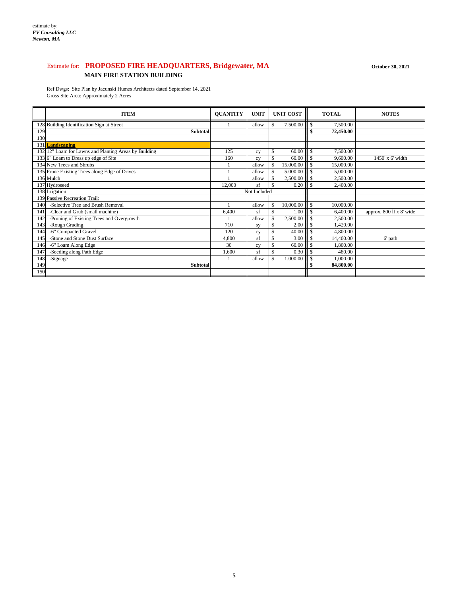### Estimate for: **PROPOSED FIRE HEADQUARTERS, Bridgewater, MA October 30, 2021 MAIN FIRE STATION BUILDING**

Ref Dwgs: Site Plan by Jacunski Humes Architects dated September 14, 2021 Gross Site Area: Approximately 2 Acres

|                 | <b>ITEM</b>                                           | <b>QUANTITY</b> | <b>UNIT</b>        |    | <b>UNIT COST</b> |               | <b>TOTAL</b> | <b>NOTES</b>             |
|-----------------|-------------------------------------------------------|-----------------|--------------------|----|------------------|---------------|--------------|--------------------------|
|                 | 128 Building Identification Sign at Street            |                 | allow              | \$ | 7,500.00         | \$            | 7,500.00     |                          |
| 129             | <b>Subtotal</b>                                       |                 |                    |    |                  |               | 72,450.00    |                          |
| 130             |                                                       |                 |                    |    |                  |               |              |                          |
|                 | 131 <b>Landscaping</b>                                |                 |                    |    |                  |               |              |                          |
|                 | 132 12" Loam for Lawns and Planting Areas by Building | 125             | cy                 | \$ | 60.00            | \$            | 7,500.00     |                          |
|                 | 1336" Loam to Dress up edge of Site                   | 160             | cy                 | S  | 60.00            | \$            | 9,600.00     | 1450' x 6' width         |
|                 | 134 New Trees and Shrubs                              |                 | allow              | S  | 15,000.00        | $\mathcal{S}$ | 15,000.00    |                          |
|                 | 135 Prune Existing Trees along Edge of Drives         |                 | allow              | \$ | 5,000.00         | $\mathcal{S}$ | 5,000.00     |                          |
|                 | 136 Mulch                                             |                 | allow              | \$ | 2,500.00         | $\mathcal{S}$ | 2,500.00     |                          |
|                 | 137 Hydroseed                                         | 12,000          | sf                 | S  | 0.20             | $\mathcal{S}$ | 2,400.00     |                          |
|                 | 138 Irrigation                                        |                 | Not Included       |    |                  |               |              |                          |
|                 | 139 Passive Recreation Trail:                         |                 |                    |    |                  |               |              |                          |
| 140             | -Selective Tree and Brush Removal                     |                 | allow              |    | 10,000.00        | $\mathcal{S}$ | 10,000.00    |                          |
| 141             | -Clear and Grub (small machine)                       | 6,400           | sf                 | \$ | 1.00             | $\mathbb{S}$  | 6,400.00     | approx. 800 lf x 8' wide |
| 142             | -Pruning of Existing Trees and Overgrowth             |                 | allow              |    | 2,500.00         | $\mathbb{S}$  | 2,500.00     |                          |
| 143             | -Rough Grading                                        | 710             | sy                 | \$ | 2.00             | \$            | 1,420.00     |                          |
| 144             | -6" Compacted Gravel                                  | 120             | cy                 | \$ | 40.00            |               | 4,800.00     |                          |
| 145             | -Stone and Stone Dust Surface                         | 4,800           | $\sqrt{\text{sf}}$ | \$ | 3.00             | <sup>\$</sup> | 14,400.00    | 6' path                  |
| 146             | -6" Loam Along Edge                                   | 30              | cy                 | \$ | 60.00            | <sup>\$</sup> | 1,800.00     |                          |
| 14 <sup>7</sup> | -Seeding along Path Edge                              | 1,600           | sf                 | \$ | 0.30             | \$            | 480.00       |                          |
| 148             | -Signage                                              |                 | allow              | \$ | 1,000.00         | \$            | 1,000.00     |                          |
| 149             | <b>Subtotal</b>                                       |                 |                    |    |                  |               | 84,800.00    |                          |
| 150             |                                                       |                 |                    |    |                  |               |              |                          |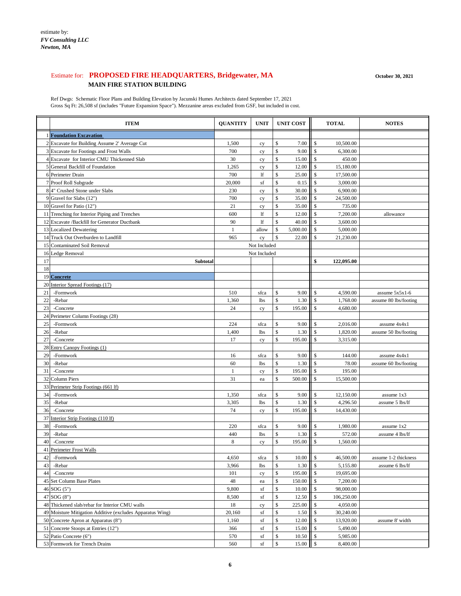#### Estimate for: **PROPOSED FIRE HEADQUARTERS, Bridgewater, MA October 30, 2021 MAIN FIRE STATION BUILDING**

|    | <b>ITEM</b>                                               | <b>QUANTITY</b> | <b>UNIT</b>        |                           | <b>UNIT COST</b> |                           | <b>TOTAL</b> | <b>NOTES</b>          |
|----|-----------------------------------------------------------|-----------------|--------------------|---------------------------|------------------|---------------------------|--------------|-----------------------|
|    | 1 Foundation Excavation                                   |                 |                    |                           |                  |                           |              |                       |
|    | 2 Excavate for Building Assume 2' Average Cut             | 1,500           | cy                 | $\$$                      | 7.00             | \$                        | 10,500.00    |                       |
|    | 3 Excavate for Footings and Frost Walls                   | 700             | cy                 | $\boldsymbol{\mathsf{S}}$ | 9.00             | \$                        | 6,300.00     |                       |
|    | 4 Excavate for Interior CMU Thickenned Slab               | 30              | cy                 | $\boldsymbol{\mathsf{S}}$ | 15.00            | \$                        | 450.00       |                       |
|    | 5 General Backfill of Foundation                          | 1,265           | cy                 | $\$\,$                    | 12.00            | \$                        | 15,180.00    |                       |
|    | 6 Perimeter Drain                                         | 700             | If                 | $\boldsymbol{\mathsf{S}}$ | 25.00            | \$                        | 17,500.00    |                       |
|    | 7 Proof Roll Subgrade                                     | 20,000          | sf                 | \$                        | 0.15             | \$                        | 3,000.00     |                       |
|    | 8 <sup>4</sup> Crushed Stone under Slabs                  | 230             | cy                 | $\boldsymbol{\mathsf{S}}$ | 30.00            | \$                        | 6,900.00     |                       |
|    | 9 Gravel for Slabs (12")                                  | 700             | cy                 | $\$\,$                    | 35.00            | \$                        | 24,500.00    |                       |
|    | 10 Gravel for Patio $(12")$                               | 21              | cy                 | $\boldsymbol{\mathsf{S}}$ | 35.00            | \$                        | 735.00       |                       |
|    | 11 Trenching for Interior Piping and Trenches             | 600             | lf                 | $\boldsymbol{\mathsf{S}}$ | 12.00            | \$                        | 7,200.00     | allowance             |
|    | 12 Excavate /Backfill for Generator Ductbank              | 90              | If                 | $\boldsymbol{\mathsf{S}}$ | 40.00            | \$                        | 3,600.00     |                       |
|    | 13 Localized Dewatering                                   | $\mathbf{1}$    | allow              | \$                        | 5,000.00         | \$                        | 5,000.00     |                       |
|    | 14 Truck Out Overburden to Landfill                       | 965             | cy                 | $\mathcal{S}$             | 22.00            | \$                        | 21,230.00    |                       |
|    | 15 Contaminated Soil Removal                              |                 | Not Included       |                           |                  |                           |              |                       |
|    | 16 Ledge Removal                                          |                 | Not Included       |                           |                  |                           |              |                       |
| 17 | <b>Subtotal</b>                                           |                 |                    |                           |                  | \$                        | 122,095.00   |                       |
| 18 |                                                           |                 |                    |                           |                  |                           |              |                       |
|    | 19 Concrete                                               |                 |                    |                           |                  |                           |              |                       |
|    | 20 Interior Spread Footings (17)                          |                 |                    |                           |                  |                           |              |                       |
| 21 | -Formwork                                                 | 510             | sfca               | \$                        | 9.00             | \$                        | 4,590.00     | assume $5x5x1-6$      |
| 22 | -Rebar                                                    | 1,360           | lbs                | $\mathbb{S}$              | 1.30             | \$                        | 1,768.00     | assume 80 lbs/footing |
| 23 | -Concrete                                                 | 24              | cy                 | \$                        | 195.00           | \$                        | 4,680.00     |                       |
|    | 24 Perimeter Column Footings (28)                         |                 |                    |                           |                  |                           |              |                       |
| 25 | -Formwork                                                 | 224             | sfca               | \$                        | 9.00             | \$                        | 2,016.00     | assume 4x4x1          |
| 26 | -Rebar                                                    | 1,400           | 1 <sub>bs</sub>    | $\$\,$                    | 1.30             | \$                        | 1,820.00     | assume 50 lbs/footing |
| 27 | -Concrete                                                 | 17              | cy                 | \$                        | 195.00           | \$                        | 3,315.00     |                       |
|    | 28 Entry Canopy Footings (1)                              |                 |                    |                           |                  |                           |              |                       |
| 29 | -Formwork                                                 | 16              | sfca               | \$                        | 9.00             | $\boldsymbol{\mathsf{S}}$ | 144.00       | assume 4x4x1          |
| 30 | -Rebar                                                    | 60              | lbs                | $\boldsymbol{\mathsf{S}}$ | 1.30             | \$                        | 78.00        | assume 60 lbs/footing |
| 31 | -Concrete                                                 |                 | cy                 | $\$\,$                    | 195.00           | \$                        | 195.00       |                       |
|    | 32 Column Piers                                           | 31              | ea                 | $\$\,$                    | 500.00           | \$                        | 15,500.00    |                       |
|    | 33 Perimeter Strip Footings (661 lf)                      |                 |                    |                           |                  |                           |              |                       |
| 34 | -Formwork                                                 | 1,350           | sfca               | $\$\,$                    | 9.00             | $\sqrt$                   | 12,150.00    | assume 1x3            |
| 35 | -Rebar                                                    | 3,305           | lbs                | $\$\,$                    | 1.30             | \$                        | 4,296.50     | assume 5 lbs/lf       |
| 36 | -Concrete                                                 | 74              |                    | $\$\,$                    | 195.00           | \$                        | 14,430.00    |                       |
|    | 37 Interior Strip Footings (110 lf)                       |                 | cy                 |                           |                  |                           |              |                       |
| 38 | -Formwork                                                 | 220             | sfca               | $\$\,$                    | 9.00             | \$                        | 1,980.00     | assume 1x2            |
| 39 | -Rebar                                                    | 440             | lbs                | $\$$                      | 1.30             | $\boldsymbol{\mathsf{S}}$ | 572.00       | assume 4 lbs/lf       |
| 40 | -Concrete                                                 | 8               | cy                 | $\$\,$                    | 195.00           | \$                        | 1,560.00     |                       |
|    | 41 Perimeter Frost Walls                                  |                 |                    |                           |                  |                           |              |                       |
| 42 | -Formwork                                                 | 4,650           | sfca               | $\$\,$                    | 10.00            | $\sqrt$                   | 46,500.00    | assume 1-2 thickness  |
| 43 | -Rebar                                                    | 3,966           | lbs                | $\$$                      | 1.30             | $\boldsymbol{\mathsf{S}}$ | 5,155.80     | assume 6 lbs/lf       |
| 44 | -Concrete                                                 | 101             |                    | $\$\,$                    | 195.00           | \$                        | 19,695.00    |                       |
|    | 45 Set Column Base Plates                                 | 48              | cy<br>ea           | $\mathbb{S}$              | 150.00           | \$                        | 7,200.00     |                       |
|    | 46 SOG (5")                                               | 9,800           | $\sqrt{\text{sf}}$ | $\$\,$                    | 10.00            | $\boldsymbol{\mathsf{S}}$ | 98,000.00    |                       |
|    | 47 SOG (8")                                               | 8,500           | $\sqrt{\text{sf}}$ | $\boldsymbol{\mathsf{S}}$ | 12.50            | \$                        | 106,250.00   |                       |
|    | 48 Thickened slab/rebar for Interior CMU walls            | 18              |                    | $\$\,$                    | 225.00           | \$                        | 4,050.00     |                       |
|    | 49 Moisture Mitigation Additive (excludes Apparatus Wing) | 20,160          | cy<br>sf           | $\$\,$                    | 1.50             | $\boldsymbol{\mathsf{S}}$ | 30,240.00    |                       |
|    | 50 Concrete Apron at Apparatus (8")                       | 1,160           | $\sqrt{\text{sf}}$ | $\mathcal{S}$             | 12.00            | $\boldsymbol{\mathsf{S}}$ | 13,920.00    | assume 8' width       |
|    | 51 Concrete Stoops at Entries (12")                       | 366             | sf                 | $\boldsymbol{\mathsf{S}}$ | 15.00            | \$                        | 5,490.00     |                       |
|    | 52 Patio Concrete (6")                                    | 570             | $\sqrt{\text{sf}}$ | \$                        | 10.50            | $\frac{1}{2}$             | 5,985.00     |                       |
|    | 53 Formwork for Trench Drains                             | 560             | $\sqrt{\text{sf}}$ | $\mathcal{S}$             | 15.00            | $\sqrt{3}$                | 8,400.00     |                       |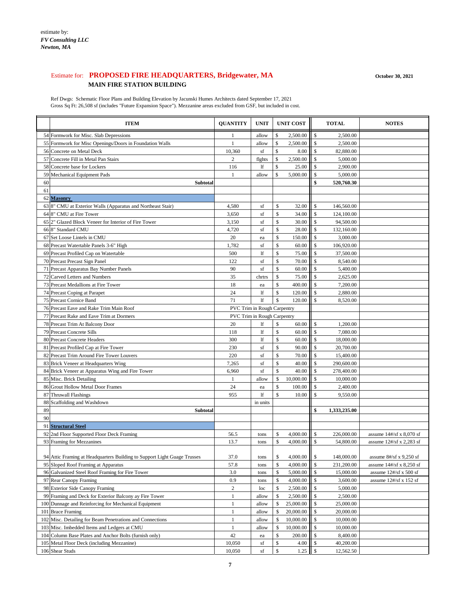#### Estimate for: **PROPOSED FIRE HEADQUARTERS, Bridgewater, MA October 30, 2021 MAIN FIRE STATION BUILDING**

|          | <b>ITEM</b>                                                              | <b>QUANTITY</b> | <b>UNIT</b>                 |                           | <b>UNIT COST</b> |                           | <b>TOTAL</b> | <b>NOTES</b>                            |
|----------|--------------------------------------------------------------------------|-----------------|-----------------------------|---------------------------|------------------|---------------------------|--------------|-----------------------------------------|
|          | 54 Formwork for Misc. Slab Depressions                                   |                 | allow                       | \$                        | 2,500.00         | $\sqrt{\ }$               | 2,500.00     |                                         |
|          | 55 Formwork for Misc Openings/Doors in Foundation Walls                  |                 | allow                       | <sup>\$</sup>             | 2,500.00         | $\mathbb{S}$              | 2,500.00     |                                         |
|          | 56 Concrete on Metal Deck                                                | 10,360          | sf                          | $\mathcal{S}$             | 8.00             | $\mathsf{\$}$             | 82,880.00    |                                         |
|          | 57 Concrete Fill in Metal Pan Stairs                                     | 2               | flghts                      | $\mathcal{S}$             | 2,500.00         | $\mathcal{S}$             | 5,000.00     |                                         |
|          | 58 Concrete base for Lockers                                             | 116             | lf                          | $\mathcal{S}$             | 25.00            | $\mathcal{S}$             | 2,900.00     |                                         |
|          | 59 Mechanical Equipment Pads                                             |                 | allow                       | $\mathcal{S}$             | 5,000.00         | $\sqrt{\ }$               | 5,000.00     |                                         |
| 60       | <b>Subtotal</b>                                                          |                 |                             |                           |                  | $\mathbf{\$}$             | 520,760.30   |                                         |
| 61       |                                                                          |                 |                             |                           |                  |                           |              |                                         |
|          | 62 Masonry                                                               |                 |                             |                           |                  |                           |              |                                         |
|          | 63 8" CMU at Exterior Walls (Apparatus and Northeast Stair)              | 4,580           | sf                          | \$                        | 32.00            | $\sqrt{\ }$               | 146,560.00   |                                         |
|          | 64 8" CMU at Fire Tower                                                  | 3,650           | sf                          | \$                        | 34.00            | $\sqrt{\ }$               | 124,100.00   |                                         |
|          | 65 2" Glazed Block Veneer for Interior of Fire Tower                     | 3,150           | sf                          | \$                        | 30.00            | \$                        | 94,500.00    |                                         |
|          | 66 8" Standard CMU                                                       | 4,720           | sf                          | \$                        | 28.00            | $\sqrt{\ }$               | 132,160.00   |                                         |
|          | 67 Set Loose Lintels in CMU                                              | 20              | ea                          | \$                        | 150.00           | $\mathcal{S}$             | 3,000.00     |                                         |
|          | 68 Precast Watertable Panels 3-6" High                                   | 1,782           | sf                          | \$                        | 60.00            | $\mathbb{S}$              | 106,920.00   |                                         |
|          | 69 Precast Profiled Cap on Watertable                                    | 500             | lf                          | \$                        | 75.00            | \$                        | 37,500.00    |                                         |
|          | 70 Precast Precast Sign Panel                                            | 122             | sf                          | \$                        | 70.00            | $\mathbb{S}$              | 8,540.00     |                                         |
|          | 71 Precast Apparatus Bay Number Panels                                   | 90              | sf                          | \$                        | 60.00            | $\mathbb{S}$              | 5,400.00     |                                         |
|          | 72 Carved Letters and Numbers                                            | 35              | chrtrs                      | \$                        | 75.00            | $\mathbb{S}$              | 2,625.00     |                                         |
|          | 73 Precast Medallions at Fire Tower                                      | 18              | ea                          | \$                        | 400.00           | $\mathcal{S}$             | 7,200.00     |                                         |
|          | 74 Precast Coping at Parapet                                             | 24              | 1f                          | \$                        | 120.00           | $\mathbb{S}$              | 2,880.00     |                                         |
|          | 75 Precast Cornice Band                                                  | 71              | lf                          | \$                        | 120.00           | $\mathcal{S}$             | 8,520.00     |                                         |
|          | 76 Precast Eave and Rake Trim Main Roof                                  |                 | PVC Trim in Rough Carpentry |                           |                  |                           |              |                                         |
|          | 77 Precast Rake and Eave Trim at Dormers                                 |                 | PVC Trim in Rough Carpentry |                           |                  |                           |              |                                         |
|          | 78 Precast Trim At Balcony Door                                          | 20              | lf                          | \$                        | 60.00            | $\sqrt$                   | 1,200.00     |                                         |
|          | 79 Precast Concrete Sills                                                | 118             | lf                          | \$                        | 60.00            | $\mathcal{S}$             | 7,080.00     |                                         |
|          | 80 Precast Concrete Headers                                              | 300             | lf                          | \$                        | 60.00            | $\mathbb{S}$              | 18,000.00    |                                         |
|          | 81 Precast Profiled Cap at Fire Tower                                    | 230             | sf                          | $\mathcal{S}$             | 90.00            | $\sqrt{3}$                | 20,700.00    |                                         |
|          | 82 Precast Trim Around Fire Tower Louvers                                | 220             | $\sqrt{\text{sf}}$          | \$                        | 70.00            | $\$\,$                    | 15,400.00    |                                         |
|          | 83 Brick Veneer at Headquarters Wing                                     | 7,265           | sf                          | \$                        | 40.00            | $\mathsf{\$}$             | 290,600.00   |                                         |
|          | 84 Brick Veneer at Apparatus Wing and Fire Tower                         | 6,960           | $\sqrt{\text{sf}}$          | \$                        | 40.00            | $\sqrt{\ }$               | 278,400.00   |                                         |
|          | 85 Misc. Brick Detailing                                                 |                 | allow                       | \$                        | 10,000.00        | $\mathbb{S}$              | 10,000.00    |                                         |
|          | 86 Grout Hollow Metal Door Frames                                        | 24              | ea                          | \$                        | 100.00           | $\mathbb{S}$              | 2,400.00     |                                         |
|          | 87 Thruwall Flashings                                                    | 955             | lf                          | $\mathcal{S}$             | 10.00            | \$                        | 9,550.00     |                                         |
|          | 88 Scaffolding and Washdown                                              |                 | in units                    |                           |                  |                           |              |                                         |
| 89<br>90 | <b>Subtotal</b>                                                          |                 |                             |                           |                  | \$                        | 1,333,235.00 |                                         |
|          | 91 Structural Steel                                                      |                 |                             |                           |                  |                           |              |                                         |
|          | 92 2nd Floor Supported Floor Deck Framing                                | 56.5            | tons                        | \$                        | 4,000.00         | $\sqrt[6]{\frac{1}{2}}$   | 226,000.00   | assume $14\frac{#}{s}$ x 8,070 sf       |
|          | 93 Framing for Mezzanines                                                | 13.7            | tons                        | \$                        | 4,000.00         | $\mathsf{\$}$             | 54,800.00    | assume $12\frac{t}{s}$ sf x 2,283 sf    |
|          |                                                                          |                 |                             |                           |                  |                           |              |                                         |
|          | 94 Attic Framing at Headquarters Building to Support Light Guage Trusses | 37.0            | tons                        | \$                        | 4,000.00         | $\boldsymbol{\mathsf{S}}$ | 148,000.00   | assume $8\frac{#}{s}$ x 9,250 sf        |
|          | 95 Sloped Roof Framing at Apparatus                                      | 57.8            | tons                        | \$                        | 4,000.00         | $\mathcal{S}$             | 231,200.00   | assume $14\frac{#}{sf} \times 8,250$ sf |
|          | 96 Galvanized Steel Roof Framing for Fire Tower                          | 3.0             | tons                        | \$                        | 5,000.00         | $\mathcal{S}$             | 15,000.00    | assume $12\frac{#}{s}$ x 500 sf         |
|          | 97 Rear Canopy Framing                                                   | 0.9             | tons                        | \$                        | 4,000.00         | $\mathcal{S}$             | 3,600.00     | assume 12#/sf x 152 sf                  |
|          | 98 Exterior Side Canopy Framing                                          | 2               | loc                         | \$                        | 2,500.00         | $\mathcal{S}$             | 5,000.00     |                                         |
|          | 99 Framing and Deck for Exterior Balcony ay Fire Tower                   |                 | allow                       | \$                        | 2,500.00         | $\$\,$                    | 2,500.00     |                                         |
|          | 100 Dunnage and Reinforcing for Mechanical Equipment                     |                 | allow                       | \$                        | 25,000.00        | $\sqrt{\ }$               | 25,000.00    |                                         |
|          | 101 Brace Framing                                                        |                 | allow                       | \$                        | 20,000.00        | $\sqrt$                   | 20,000.00    |                                         |
|          | 102 Misc. Detailing for Beam Penetrations and Connections                |                 | allow                       | \$                        | 10,000.00        | $\sqrt$                   | 10,000.00    |                                         |
|          | 103 Misc. Imbedded Items and Ledgers at CMU                              |                 | allow                       | $\boldsymbol{\mathsf{S}}$ | 10,000.00        | $\boldsymbol{\mathsf{S}}$ | 10,000.00    |                                         |
|          | 104 Column Base Plates and Anchor Bolts (furnish only)                   | 42              | ea                          | \$                        | 200.00           | $\sqrt$                   | 8,400.00     |                                         |
|          | 105 Metal Floor Deck (including Mezzanine)                               | 10,050          | sf                          | \$                        | 4.00             | $\boldsymbol{\mathsf{S}}$ | 40,200.00    |                                         |
|          | 106 Shear Studs                                                          | 10,050          | sf                          | \$                        | 1.25             | $\mathcal{S}$             | 12,562.50    |                                         |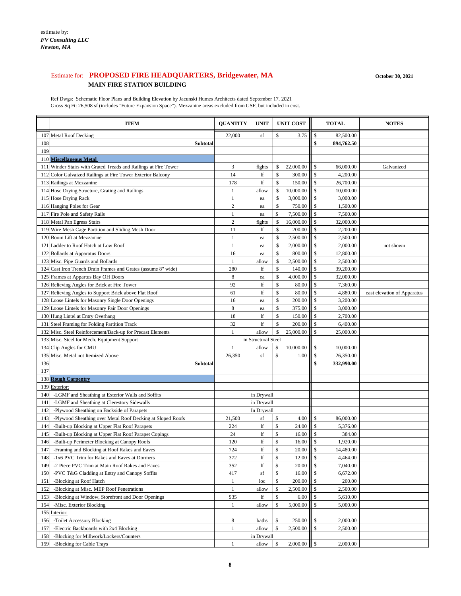#### Estimate for: **PROPOSED FIRE HEADQUARTERS, Bridgewater, MA October 30, 2021 MAIN FIRE STATION BUILDING**

|     | <b>ITEM</b>                                                     | <b>QUANTITY</b> | <b>UNIT</b>    |                           | <b>UNIT COST</b> |               | <b>TOTAL</b> | <b>NOTES</b> |
|-----|-----------------------------------------------------------------|-----------------|----------------|---------------------------|------------------|---------------|--------------|--------------|
|     | 107 Metal Roof Decking                                          | 22,000          | sf             | $\mathbb{S}$              | 3.75             | <sup>\$</sup> | 82,500.00    |              |
| 108 | <b>Subtotal</b>                                                 |                 |                |                           |                  |               | 894,762.50   |              |
| 109 |                                                                 |                 |                |                           |                  |               |              |              |
|     | 110 Miscellaneous Metal                                         |                 |                |                           |                  |               |              |              |
|     | 111 Winder Stairs with Grated Treads and Railings at Fire Tower | 3               | flghts         | $\boldsymbol{\mathsf{S}}$ | 22,000.00        | $\mathcal{S}$ | 66,000.00    | Galvanized   |
|     | 112 Color Galvaized Railings at Fire Tower Exterior Balcony     | 14              | <sup>1</sup> f | \$                        | 300.00           | \$            | 4,200.00     |              |
|     | 113 Railings at Mezzanine                                       | 178             | <sup>1f</sup>  |                           | 150.00           | \$            | 26,700.00    |              |
|     | 114 Hose Drying Structure, Grating and Railings                 |                 | allow          |                           | 10,000.00        |               | 10,000.00    |              |
|     | 115 Hose Drying Rack                                            |                 | ea             | \$                        | 3,000.00         | \$            | 3,000.00     |              |
|     | 116 Hanging Poles for Gear                                      | 2               | ea             | S.                        | 750.00           | \$.           | 1,500.00     |              |
|     | 117 Fire Pole and Safety Rails                                  |                 | ea             |                           | 7,500.00         | \$            | 7,500.00     |              |
|     | 118 Metal Pan Egress Stairs                                     | 2               | flghts         |                           | 16,000.00        |               | 32,000.00    |              |
|     | 119 Wire Mesh Cage Partition and Sliding Mesh Door              | 11              | lf             |                           | 200.00           | \$            | 2,200.00     |              |
|     | 120 Boom Lift at Mezzanine                                      |                 | ea             |                           | 2,500.00         | \$            | 2,500.00     |              |
|     | 121 Ladder to Roof Hatch at Low Roof                            |                 | ea             |                           | 2,000.00         | \$            | 2,000.00     | not shown    |
|     | 122 Bollards at Apparatus Doors                                 | 16              | ea             |                           | 800.00           |               | 12,800.00    |              |
|     | 123 Misc. Pipe Guards and Bollards                              |                 | allow          |                           | 2,500.00         |               | 2,500.00     |              |
|     | 124 Cast Iron Trench Drain Frames and Grates (assume 8" wide)   | 280             | lf             | \$                        | 140.00           | S             | 39,200.00    |              |
|     |                                                                 |                 |                |                           |                  |               |              |              |

| $\boldsymbol{\mathsf{S}}$<br>113 Railings at Mezzanine<br>1f<br>\$<br>150.00<br>26,700.00<br>178<br>\$<br>10,000.00<br>114 Hose Drying Structure, Grating and Railings<br>allow<br>\$<br>10,000.00<br>115 Hose Drying Rack<br>\$<br>\$<br>3,000.00<br>3,000.00<br>ea<br>$\mathcal{S}$<br>116 Hanging Poles for Gear<br>$\boldsymbol{2}$<br>\$<br>750.00<br>1,500.00<br>ea<br>117 Fire Pole and Safety Rails<br>\$<br>7,500.00<br>\$<br>7,500.00<br>ea<br>\$<br>118 Metal Pan Egress Stairs<br>$\boldsymbol{2}$<br>\$<br>16,000.00<br>32,000.00<br>flghts<br>$\mathbb{S}$<br>\$<br>119 Wire Mesh Cage Partition and Sliding Mesh Door<br>lf<br>200.00<br>11<br>2,200.00<br>\$<br>120 Boom Lift at Mezzanine<br>\$<br>2,500.00<br>2,500.00<br>ea<br>\$<br>121 Ladder to Roof Hatch at Low Roof<br>\$<br>2,000.00<br>2,000.00<br>not shown<br>ea<br>\$<br>\$<br>122 Bollards at Apparatus Doors<br>16<br>800.00<br>12,800.00<br>ea<br>123 Misc. Pipe Guards and Bollards<br>\$<br>2,500.00<br>\$<br>2,500.00<br>allow<br>\$<br>124 Cast Iron Trench Drain Frames and Grates (assume 8" wide)<br>lf<br>\$<br>280<br>140.00<br>39,200.00<br>\$<br>125 Frames at Appartus Bay OH Doors<br>8<br>\$<br>4,000.00<br>32,000.00<br>ea<br>$\$\,$<br>\$<br>126 Relieving Angles for Brick at Fire Tower<br>92<br>lf<br>80.00<br>7,360.00<br>$\$\,$<br>127 Relieving Angles to Support Brick above Flat Roof<br>lf<br>80.00<br>\$<br>61<br>4,880.00<br>east elevation of Apparatus |
|----------------------------------------------------------------------------------------------------------------------------------------------------------------------------------------------------------------------------------------------------------------------------------------------------------------------------------------------------------------------------------------------------------------------------------------------------------------------------------------------------------------------------------------------------------------------------------------------------------------------------------------------------------------------------------------------------------------------------------------------------------------------------------------------------------------------------------------------------------------------------------------------------------------------------------------------------------------------------------------------------------------------------------------------------------------------------------------------------------------------------------------------------------------------------------------------------------------------------------------------------------------------------------------------------------------------------------------------------------------------------------------------------------------------------------------------------------------------|
|                                                                                                                                                                                                                                                                                                                                                                                                                                                                                                                                                                                                                                                                                                                                                                                                                                                                                                                                                                                                                                                                                                                                                                                                                                                                                                                                                                                                                                                                      |
|                                                                                                                                                                                                                                                                                                                                                                                                                                                                                                                                                                                                                                                                                                                                                                                                                                                                                                                                                                                                                                                                                                                                                                                                                                                                                                                                                                                                                                                                      |
|                                                                                                                                                                                                                                                                                                                                                                                                                                                                                                                                                                                                                                                                                                                                                                                                                                                                                                                                                                                                                                                                                                                                                                                                                                                                                                                                                                                                                                                                      |
|                                                                                                                                                                                                                                                                                                                                                                                                                                                                                                                                                                                                                                                                                                                                                                                                                                                                                                                                                                                                                                                                                                                                                                                                                                                                                                                                                                                                                                                                      |
|                                                                                                                                                                                                                                                                                                                                                                                                                                                                                                                                                                                                                                                                                                                                                                                                                                                                                                                                                                                                                                                                                                                                                                                                                                                                                                                                                                                                                                                                      |
|                                                                                                                                                                                                                                                                                                                                                                                                                                                                                                                                                                                                                                                                                                                                                                                                                                                                                                                                                                                                                                                                                                                                                                                                                                                                                                                                                                                                                                                                      |
|                                                                                                                                                                                                                                                                                                                                                                                                                                                                                                                                                                                                                                                                                                                                                                                                                                                                                                                                                                                                                                                                                                                                                                                                                                                                                                                                                                                                                                                                      |
|                                                                                                                                                                                                                                                                                                                                                                                                                                                                                                                                                                                                                                                                                                                                                                                                                                                                                                                                                                                                                                                                                                                                                                                                                                                                                                                                                                                                                                                                      |
|                                                                                                                                                                                                                                                                                                                                                                                                                                                                                                                                                                                                                                                                                                                                                                                                                                                                                                                                                                                                                                                                                                                                                                                                                                                                                                                                                                                                                                                                      |
|                                                                                                                                                                                                                                                                                                                                                                                                                                                                                                                                                                                                                                                                                                                                                                                                                                                                                                                                                                                                                                                                                                                                                                                                                                                                                                                                                                                                                                                                      |
|                                                                                                                                                                                                                                                                                                                                                                                                                                                                                                                                                                                                                                                                                                                                                                                                                                                                                                                                                                                                                                                                                                                                                                                                                                                                                                                                                                                                                                                                      |
|                                                                                                                                                                                                                                                                                                                                                                                                                                                                                                                                                                                                                                                                                                                                                                                                                                                                                                                                                                                                                                                                                                                                                                                                                                                                                                                                                                                                                                                                      |
|                                                                                                                                                                                                                                                                                                                                                                                                                                                                                                                                                                                                                                                                                                                                                                                                                                                                                                                                                                                                                                                                                                                                                                                                                                                                                                                                                                                                                                                                      |
|                                                                                                                                                                                                                                                                                                                                                                                                                                                                                                                                                                                                                                                                                                                                                                                                                                                                                                                                                                                                                                                                                                                                                                                                                                                                                                                                                                                                                                                                      |
| \$<br>128 Loose Lintels for Masonry Single Door Openings<br>\$<br>200.00<br>3,200.00<br>16<br>ea                                                                                                                                                                                                                                                                                                                                                                                                                                                                                                                                                                                                                                                                                                                                                                                                                                                                                                                                                                                                                                                                                                                                                                                                                                                                                                                                                                     |
| $\$\,$<br>129 Loose Lintels for Masonry Pair Door Openings<br>8<br>\$<br>375.00<br>3,000.00<br>ea                                                                                                                                                                                                                                                                                                                                                                                                                                                                                                                                                                                                                                                                                                                                                                                                                                                                                                                                                                                                                                                                                                                                                                                                                                                                                                                                                                    |
| $\$\,$<br>130 Hung Lintel at Entry Overhang<br>18<br>lf<br>\$<br>150.00<br>2,700.00                                                                                                                                                                                                                                                                                                                                                                                                                                                                                                                                                                                                                                                                                                                                                                                                                                                                                                                                                                                                                                                                                                                                                                                                                                                                                                                                                                                  |
| $\mathbb{S}$<br>131 Steel Framing for Folding Partition Track<br>lf<br>\$<br>32<br>200.00<br>6,400.00                                                                                                                                                                                                                                                                                                                                                                                                                                                                                                                                                                                                                                                                                                                                                                                                                                                                                                                                                                                                                                                                                                                                                                                                                                                                                                                                                                |
| 132 Misc. Steel Reinforcement/Back-up for Precast Elements<br>\$<br>\$<br>25,000.00<br>allow<br>25,000.00                                                                                                                                                                                                                                                                                                                                                                                                                                                                                                                                                                                                                                                                                                                                                                                                                                                                                                                                                                                                                                                                                                                                                                                                                                                                                                                                                            |
| 133 Misc. Steel for Mech. Equipment Support<br>in Structural Steel                                                                                                                                                                                                                                                                                                                                                                                                                                                                                                                                                                                                                                                                                                                                                                                                                                                                                                                                                                                                                                                                                                                                                                                                                                                                                                                                                                                                   |
| $\boldsymbol{\mathsf{S}}$<br>134 Clip Angles for CMU<br>10,000.00<br>10,000.00<br>allow<br>\$                                                                                                                                                                                                                                                                                                                                                                                                                                                                                                                                                                                                                                                                                                                                                                                                                                                                                                                                                                                                                                                                                                                                                                                                                                                                                                                                                                        |
| 135 Misc. Metal not Itemized Above<br>\$<br>sf<br>1.00<br>\$<br>26,350<br>26,350.00                                                                                                                                                                                                                                                                                                                                                                                                                                                                                                                                                                                                                                                                                                                                                                                                                                                                                                                                                                                                                                                                                                                                                                                                                                                                                                                                                                                  |
| \$<br>136<br>332,990.00<br><b>Subtotal</b>                                                                                                                                                                                                                                                                                                                                                                                                                                                                                                                                                                                                                                                                                                                                                                                                                                                                                                                                                                                                                                                                                                                                                                                                                                                                                                                                                                                                                           |
| 137                                                                                                                                                                                                                                                                                                                                                                                                                                                                                                                                                                                                                                                                                                                                                                                                                                                                                                                                                                                                                                                                                                                                                                                                                                                                                                                                                                                                                                                                  |
| 138 Rough Carpentry                                                                                                                                                                                                                                                                                                                                                                                                                                                                                                                                                                                                                                                                                                                                                                                                                                                                                                                                                                                                                                                                                                                                                                                                                                                                                                                                                                                                                                                  |
| 139 Exterior:                                                                                                                                                                                                                                                                                                                                                                                                                                                                                                                                                                                                                                                                                                                                                                                                                                                                                                                                                                                                                                                                                                                                                                                                                                                                                                                                                                                                                                                        |
| -LGMF and Sheathing at Exterior Walls and Soffits<br>in Drywall<br>140                                                                                                                                                                                                                                                                                                                                                                                                                                                                                                                                                                                                                                                                                                                                                                                                                                                                                                                                                                                                                                                                                                                                                                                                                                                                                                                                                                                               |
| -LGMF and Sheathing at Clerestory Sidewalls<br>in Drywall<br>14.                                                                                                                                                                                                                                                                                                                                                                                                                                                                                                                                                                                                                                                                                                                                                                                                                                                                                                                                                                                                                                                                                                                                                                                                                                                                                                                                                                                                     |
| -Plywood Sheathing on Backside of Parapets<br>In Drywall<br>142                                                                                                                                                                                                                                                                                                                                                                                                                                                                                                                                                                                                                                                                                                                                                                                                                                                                                                                                                                                                                                                                                                                                                                                                                                                                                                                                                                                                      |
| 4.00<br>$\boldsymbol{\mathsf{S}}$<br>21,500<br>\$<br>-Plywood Sheathing over Metal Roof Decking at Sloped Roofs<br>sf<br>86,000.00<br>143                                                                                                                                                                                                                                                                                                                                                                                                                                                                                                                                                                                                                                                                                                                                                                                                                                                                                                                                                                                                                                                                                                                                                                                                                                                                                                                            |
|                                                                                                                                                                                                                                                                                                                                                                                                                                                                                                                                                                                                                                                                                                                                                                                                                                                                                                                                                                                                                                                                                                                                                                                                                                                                                                                                                                                                                                                                      |
|                                                                                                                                                                                                                                                                                                                                                                                                                                                                                                                                                                                                                                                                                                                                                                                                                                                                                                                                                                                                                                                                                                                                                                                                                                                                                                                                                                                                                                                                      |
| $\$$<br>-Built-up Blocking at Upper Flat Roof Parapets<br>If<br>24.00<br>5,376.00<br>224<br>\$<br>144                                                                                                                                                                                                                                                                                                                                                                                                                                                                                                                                                                                                                                                                                                                                                                                                                                                                                                                                                                                                                                                                                                                                                                                                                                                                                                                                                                |
| -Built-up Blocking at Upper Flat Roof Parapet Copings<br>lf<br>16.00<br>\$<br>24<br>384.00<br>\$<br>145                                                                                                                                                                                                                                                                                                                                                                                                                                                                                                                                                                                                                                                                                                                                                                                                                                                                                                                                                                                                                                                                                                                                                                                                                                                                                                                                                              |
| -Built-up Perimeter Blocking at Canopy Roofs<br>lf<br>16.00<br>\$<br>1,920.00<br>120<br>\$<br>146                                                                                                                                                                                                                                                                                                                                                                                                                                                                                                                                                                                                                                                                                                                                                                                                                                                                                                                                                                                                                                                                                                                                                                                                                                                                                                                                                                    |
| -Framing and Blocking at Roof Rakes and Eaves<br>\$<br>lf<br>20.00<br>14,480.00<br>724<br>147<br>\$                                                                                                                                                                                                                                                                                                                                                                                                                                                                                                                                                                                                                                                                                                                                                                                                                                                                                                                                                                                                                                                                                                                                                                                                                                                                                                                                                                  |
| -1x6 PVC Trim for Rakes and Eaves at Dormers<br>\$<br>372<br>lf<br>12.00<br>4,464.00<br>\$<br>148                                                                                                                                                                                                                                                                                                                                                                                                                                                                                                                                                                                                                                                                                                                                                                                                                                                                                                                                                                                                                                                                                                                                                                                                                                                                                                                                                                    |
| -2 Piece PVC Trim at Main Roof Rakes and Eaves<br>lf<br>\$<br>352<br>20.00<br>7,040.00<br>149<br>\$                                                                                                                                                                                                                                                                                                                                                                                                                                                                                                                                                                                                                                                                                                                                                                                                                                                                                                                                                                                                                                                                                                                                                                                                                                                                                                                                                                  |
| -PVC T&G Cladding at Entry and Canopy Soffits<br>\$<br>417<br>sf<br>16.00<br>6,672.00<br>\$<br>150                                                                                                                                                                                                                                                                                                                                                                                                                                                                                                                                                                                                                                                                                                                                                                                                                                                                                                                                                                                                                                                                                                                                                                                                                                                                                                                                                                   |
| \$<br>-Blocking at Roof Hatch<br>200.00<br>200.00<br>\$<br>15 <sup>2</sup><br>loc                                                                                                                                                                                                                                                                                                                                                                                                                                                                                                                                                                                                                                                                                                                                                                                                                                                                                                                                                                                                                                                                                                                                                                                                                                                                                                                                                                                    |
| $\$$<br>-Blocking at Misc. MEP Roof Penetrations<br>2,500.00<br>2,500.00<br>\$<br>152<br>allow                                                                                                                                                                                                                                                                                                                                                                                                                                                                                                                                                                                                                                                                                                                                                                                                                                                                                                                                                                                                                                                                                                                                                                                                                                                                                                                                                                       |
| -Blocking at Window, Storefront and Door Openings<br>lf<br>\$<br>935<br>\$<br>6.00<br>5,610.00<br>153                                                                                                                                                                                                                                                                                                                                                                                                                                                                                                                                                                                                                                                                                                                                                                                                                                                                                                                                                                                                                                                                                                                                                                                                                                                                                                                                                                |
| \$<br>-Misc. Exterior Blocking<br>5,000.00<br>\$<br>5,000.00<br>154<br>1<br>allow                                                                                                                                                                                                                                                                                                                                                                                                                                                                                                                                                                                                                                                                                                                                                                                                                                                                                                                                                                                                                                                                                                                                                                                                                                                                                                                                                                                    |
| 155 Interior:                                                                                                                                                                                                                                                                                                                                                                                                                                                                                                                                                                                                                                                                                                                                                                                                                                                                                                                                                                                                                                                                                                                                                                                                                                                                                                                                                                                                                                                        |
| $\mathbb{S}$<br>-Toilet Accessory Blocking<br>8<br>\$<br>250.00<br>2,000.00<br>156<br>baths                                                                                                                                                                                                                                                                                                                                                                                                                                                                                                                                                                                                                                                                                                                                                                                                                                                                                                                                                                                                                                                                                                                                                                                                                                                                                                                                                                          |
| $\$$<br>-Electric Backboards with 2x4 Blocking<br>allow<br>\$<br>2,500.00<br>157<br>2,500.00<br>-Blocking for Millwork/Lockers/Counters<br>in Drywall<br>158                                                                                                                                                                                                                                                                                                                                                                                                                                                                                                                                                                                                                                                                                                                                                                                                                                                                                                                                                                                                                                                                                                                                                                                                                                                                                                         |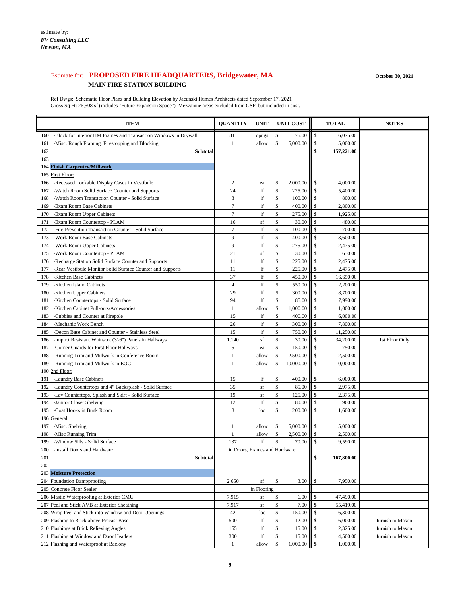#### Estimate for: **PROPOSED FIRE HEADQUARTERS, Bridgewater, MA October 30, 2021 MAIN FIRE STATION BUILDING**

Ref Dwgs: Schematic Floor Plans and Building Elevation by Jacunski Humes Architects dated September 17, 2021

|     | <b>ITEM</b>                                                      | <b>QUANTITY</b>               | <b>UNIT</b>         |                           | <b>UNIT COST</b> |                           | <b>TOTAL</b> | <b>NOTES</b>   |
|-----|------------------------------------------------------------------|-------------------------------|---------------------|---------------------------|------------------|---------------------------|--------------|----------------|
| 160 | -Block for Interior HM Frames and Transaction Windows in Drywall | 81                            | opngs               | \$                        | 75.00            | ll \$                     | 6,075.00     |                |
| 161 | -Misc. Rough Framing, Firestopping and Blocking                  |                               | allow               | <sup>\$</sup>             | 5,000.00         | ll s                      | 5,000.00     |                |
| 162 | <b>Subtotal</b>                                                  |                               |                     |                           |                  |                           | 157,221.00   |                |
| 163 |                                                                  |                               |                     |                           |                  |                           |              |                |
|     | <b>164 Finish Carpentry/Millwork</b>                             |                               |                     |                           |                  |                           |              |                |
|     | 165 First Floor:                                                 |                               |                     |                           |                  |                           |              |                |
| 166 | -Recessed Lockable Display Cases in Vestibule                    | $\overline{c}$                | ea                  | \$                        | 2,000.00         | ll \$                     | 4,000.00     |                |
| 167 | -Watch Room Solid Surface Counter and Supports                   | 24                            | lf                  | $\mathbb{S}$              | 225.00           | ll s                      | 5,400.00     |                |
| 168 | -Watch Room Transaction Counter - Solid Surface                  | 8                             | 1f                  | $\mathcal{S}$             | 100.00           | -\$                       | 800.00       |                |
| 169 | -Exam Room Base Cabinets                                         | 7                             | lf                  | <sup>\$</sup>             | 400.00           | -\$                       | 2,800.00     |                |
| 170 | -Exam Room Upper Cabinets                                        | $\overline{7}$                | 1f                  | $\mathcal{S}$             | 275.00           | $\boldsymbol{\mathsf{S}}$ | 1,925.00     |                |
| 171 | -Exam Room Countertop - PLAM                                     | 16                            | sf                  | \$                        | 30.00            |                           | 480.00       |                |
| 172 | -Fire Prevention Transaction Counter - Solid Surface             | 7                             | $\mathbf{If}$       | $\mathcal{S}$             | 100.00           |                           | 700.00       |                |
| 173 | -Work Room Base Cabinets                                         | 9                             | lf                  | <sup>\$</sup>             | 400.00           | -\$                       | 3,600.00     |                |
| 174 | -Work Room Upper Cabinets                                        | 9                             | $\mathbf{If}$       | \$                        | 275.00           | $\boldsymbol{\mathsf{S}}$ | 2,475.00     |                |
| 175 | -Work Room Countertop - PLAM                                     | 21                            | sf                  | <sup>\$</sup>             | 30.00            | -\$                       | 630.00       |                |
| 176 | -Recharge Station Solid Surface Counter and Supports             | 11                            | $\mathbf{If}$       | \$                        | 225.00           | -\$                       | 2,475.00     |                |
| 177 | -Rear Vestibule Monitor Solid Surface Counter and Supports       | -11                           | lf                  | \$                        | 225.00           | -\$                       | 2,475.00     |                |
| 178 | -Kitchen Base Cabinets                                           | 37                            | $\mathbf{If}$       | \$                        | 450.00           | -\$                       | 16,650.00    |                |
| 179 | -Kitchen Island Cabinets                                         | $\overline{4}$                | lf                  | <sup>\$</sup>             | 550.00           | -\$                       | 2,200.00     |                |
| 180 | -Kitchen Upper Cabinets                                          | 29                            | $\mathbf{If}$       | $\mathbb{S}$              | 300.00           | <sup>\$</sup>             | 8,700.00     |                |
| 181 | -Kitchen Countertops - Solid Surface                             | 94                            | $\mathbf{If}$       | \$                        | 85.00            | -\$                       | 7,990.00     |                |
| 182 | -Kitchen Cabinet Pull-outs/Accessories                           |                               | allow               | \$                        | 1,000.00         | -S                        | 1,000.00     |                |
| 183 | -Cubbies and Counter at Firepole                                 | 15                            | lf                  | \$                        | 400.00           | -\$                       | 6,000.00     |                |
| 184 | -Mechanic Work Bench                                             | 26                            | lf                  | \$                        | 300.00           | -\$                       | 7,800.00     |                |
| 185 | -Decon Base Cabinet and Counter - Stainless Steel                | 15                            | lf                  | \$                        | 750.00           | ll \$                     | 11,250.00    |                |
| 186 | -Impact Resistant Wainscot (3'-6") Panels in Hallways            | 1,140                         | sf                  | $\boldsymbol{\mathsf{S}}$ |                  |                           | 34,200.00    | 1st Floor Only |
| 187 | -Corner Guards for First Floor Hallways                          | 5                             | ea                  | \$                        | 150.00           | $\parallel$ s             | 750.00       |                |
| 188 | -Running Trim and Millwork in Conference Room                    |                               | allow               | \$                        | 2,500.00         | ll \$                     | 2,500.00     |                |
| 189 | -Running Trim and Millwork in EOC                                |                               | allow               | \$                        | 10,000.00        | ll \$                     | 10,000.00    |                |
| 190 | 2nd Floor:                                                       |                               |                     |                           |                  |                           |              |                |
| 191 | -Laundry Base Cabinets                                           | 15                            | 1f                  | \$                        | 400.00           | ll \$                     | 6,000.00     |                |
| 192 | -Laundry Countertops and 4" Backsplash - Solid Surface           | 35                            | $\operatorname{sf}$ | \$                        | 85.00            | l \$                      | 2,975.00     |                |
| 193 | -Lav Countertops, Splash and Skirt - Solid Surface               | 19                            | $\operatorname{sf}$ | \$                        | 125.00           | ∥\$                       | 2,375.00     |                |
| 194 | -Janitor Closet Shelving                                         | 12                            | lf                  | \$                        | 80.00            | ll S                      | 960.00       |                |
| 195 | -Coat Hooks in Bunk Room                                         | $\,8\,$                       | loc                 | \$                        | 200.00           | -S                        | 1,600.00     |                |
|     | 196 General:                                                     |                               |                     |                           |                  |                           |              |                |
| 197 | -Misc. Shelving                                                  |                               | allow               | \$                        | 5,000.00         | $\parallel$ \$            | 5,000.00     |                |
| 198 | -Misc Running Trim                                               |                               | allow               | \$                        | 2,500.00         | $\parallel$ \$            | 2,500.00     |                |
| 199 | -Window Sills - Solid Surface                                    | 137                           | lf                  | \$                        | 70.00            | ll \$                     | 9,590.00     |                |
| 200 | -Install Doors and Hardware                                      | in Doors, Frames and Hardware |                     |                           |                  |                           |              |                |

202

| 203 Moisture Protection                               |       |             |                 |           |                  |
|-------------------------------------------------------|-------|-------------|-----------------|-----------|------------------|
| 204 Foundation Dampproofing                           | 2,650 | sf          | $3.00$   \$     | 7,950.00  |                  |
| 205 Concrete Floor Sealer                             |       | in Flooring |                 |           |                  |
| 206 Mastic Waterproofing at Exterior CMU              | 7.915 | sf          | $6.00$   \$     | 47,490.00 |                  |
| 207 Peel and Stick AVB at Exterior Sheathing          | 7,917 | sf          | 7.00            | 55,419.00 |                  |
| 208 Wrap Peel and Stick into Window and Door Openings | 42    | loc         | $150.00$   \$   | 6,300.00  |                  |
| 209 Flashing to Brick above Precast Base              | 500   | 11.         | 12.00           | 6,000.00  | furnish to Mason |
| 210 Flashings at Brick Relieving Angles               | 155   | 1£          | 15.00           | 2,325.00  | furnish to Mason |
| 211 Flashing at Window and Door Headers               | 300   | 1£          | 15.00           | 4,500.00  | furnish to Mason |
| 212 Flashing and Waterproof at Baclony                |       | allow       | $1,000.00$   \$ | 1,000.00  |                  |

201 **Subtotal Subtotal 18 167,800.00**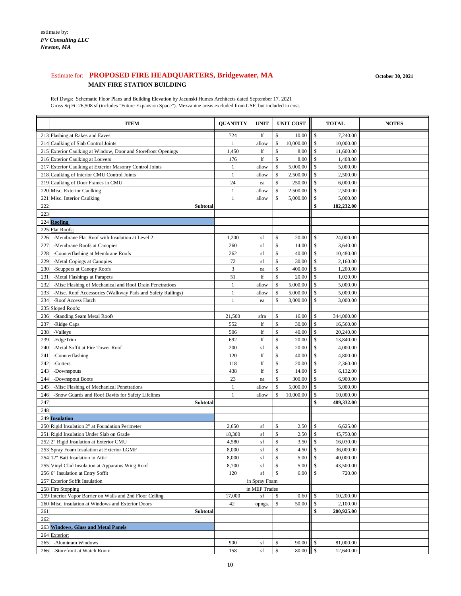#### Estimate for: **PROPOSED FIRE HEADQUARTERS, Bridgewater, MA October 30, 2021 MAIN FIRE STATION BUILDING**

Ref Dwgs: Schematic Floor Plans and Building Elevation by Jacunski Humes Architects dated September 17, 2021 Gross Sq Ft: 26,508 sf (includes "Future Expansion Space"). Mezzanine areas excluded from GSF, but included in cost.

|     | <b>ITEM</b>                                                   | <b>QUANTITY</b> | <b>UNIT</b>   |                           | <b>UNIT COST</b> |                           | <b>TOTAL</b> | <b>NOTES</b> |
|-----|---------------------------------------------------------------|-----------------|---------------|---------------------------|------------------|---------------------------|--------------|--------------|
|     | 213 Flashing at Rakes and Eaves                               | 724             | lf            | $\mathcal{S}$             | 10.00            | $\mathcal{S}$             | 7,240.00     |              |
|     | 214 Caulking of Slab Control Joints                           |                 | allow         | $\mathcal{S}$             | 10,000.00        | $\mathcal{S}$             | 10,000.00    |              |
|     | 215 Exterior Caulking at Window, Door and Storefront Openings | 1,450           | lf            | $\boldsymbol{\mathsf{S}}$ | 8.00             | $\boldsymbol{\mathsf{S}}$ | 11,600.00    |              |
|     | 216 Exterior Caulking at Louvers                              | 176             | lf            | $\mathcal{S}$             | 8.00             |                           | 1,408.00     |              |
|     | 217 Exterior Caulking at Exterior Masonry Control Joints      |                 | allow         | $\boldsymbol{\mathsf{S}}$ | 5,000.00         | $\boldsymbol{\mathsf{S}}$ | 5,000.00     |              |
|     | 218 Caulking of Interior CMU Control Joints                   |                 | allow         | $\mathcal{S}$             | 2,500.00         | $\boldsymbol{\mathsf{S}}$ | 2,500.00     |              |
|     | 219 Caulking of Door Frames in CMU                            | 24              | ea            | $\boldsymbol{\mathsf{S}}$ | 250.00           | $\boldsymbol{\mathsf{S}}$ | 6,000.00     |              |
|     | 220 Misc. Exterior Caulking                                   |                 | allow         | $\mathcal{S}$             | 2,500.00         | $\boldsymbol{\mathsf{S}}$ | 2,500.00     |              |
|     | 221 Misc. Interior Caulking                                   |                 | allow         | $\mathcal{S}$             | 5,000.00         | $\boldsymbol{\mathsf{S}}$ | 5,000.00     |              |
| 222 | <b>Subtotal</b>                                               |                 |               |                           |                  | \$                        | 182,232.00   |              |
| 223 |                                                               |                 |               |                           |                  |                           |              |              |
|     | 224 Roofing                                                   |                 |               |                           |                  |                           |              |              |
|     | 225 Flat Roofs:                                               |                 |               |                           |                  |                           |              |              |
| 226 | -Membrane Flat Roof with Insulation at Level 2                | 1,200           | sf            | $\mathcal{S}$             | 20.00            | $\boldsymbol{\mathsf{S}}$ | 24,000.00    |              |
| 227 | -Membrane Roofs at Canopies                                   | 260             | sf            | \$                        | 14.00            | $\boldsymbol{\mathsf{S}}$ | 3,640.00     |              |
| 228 | -Counterflashing at Membrane Roofs                            | 262             | sf            | <sup>\$</sup>             | 40.00            | $\boldsymbol{\mathsf{S}}$ | 10,480.00    |              |
| 229 | -Metal Copings at Canopies                                    | 72              | sf            | \$                        | 30.00            | $\mathcal{S}$             | 2,160.00     |              |
| 230 | -Scuppers at Canopy Roofs                                     | 3               | ea            | $\mathbb{S}$              | 400.00           | $\mathcal{S}$             | 1,200.00     |              |
| 231 | -Metal Flashings at Parapets                                  | 51              | lf            | $\boldsymbol{\mathsf{S}}$ | 20.00            | $\boldsymbol{\mathsf{S}}$ | 1,020.00     |              |
| 232 | -Misc Flashing of Mechanical and Roof Drain Penetrations      | 1               | allow         | $\mathcal{S}$             | 5,000.00         | $\mathcal{S}$             | 5,000.00     |              |
| 233 | -Misc. Roof Accessories (Walkway Pads and Safety Railings)    |                 | allow         | $\mathbb{S}$              | 5,000.00         | $\boldsymbol{\mathsf{S}}$ | 5,000.00     |              |
| 234 | -Roof Access Hatch                                            |                 | ea            | \$                        | 3,000.00         | $\boldsymbol{\mathsf{S}}$ | 3,000.00     |              |
|     | 235 Sloped Roofs:                                             |                 |               |                           |                  |                           |              |              |
| 236 | -Standing Seam Metal Roofs                                    | 21,500          | sfra          | $\boldsymbol{\mathsf{S}}$ | 16.00            | $\sqrt[6]{\frac{1}{2}}$   | 344,000.00   |              |
| 237 | -Ridge Caps                                                   | 552             | lf            | \$                        | 30.00            | $\boldsymbol{\mathsf{S}}$ | 16,560.00    |              |
| 238 | -Valleys                                                      | 506             | lf            |                           | 40.00            |                           | 20,240.00    |              |
| 239 | -EdgeTrim                                                     | 692             | lf            | $\boldsymbol{\mathsf{S}}$ | 20.00            | $\mathcal{S}$             | 13,840.00    |              |
| 240 | -Metal Soffit at Fire Tower Roof                              | 200             | sf            | $\$\,$                    | 20.00            | $\sqrt[6]{3}$             | 4,000.00     |              |
| 241 | -Counterflashing                                              | 120             | <sup>1f</sup> | \$                        | 40.00            | $\boldsymbol{\mathsf{S}}$ | 4,800.00     |              |
| 242 | -Gutters                                                      | 118             | lf            | \$                        | 20.00            | $\boldsymbol{\mathsf{S}}$ | 2,360.00     |              |
| 243 | -Downspouts                                                   | 438             | lf            | \$                        | 14.00            | $\boldsymbol{\mathsf{S}}$ | 6,132.00     |              |
| 244 | -Downspout Boots                                              | 23              | ea            | $\mathbb{S}$              | 300.00           | \$                        | 6,900.00     |              |
| 245 | -Misc Flashing of Mechanical Penetrations                     |                 | allow         | $\boldsymbol{\mathsf{S}}$ | 5,000.00         | \$                        | 5,000.00     |              |
| 246 | -Snow Guards and Roof Davits for Safety Lifelines             |                 | allow         | $\frac{1}{2}$             | 10,000.00        | $\boldsymbol{\mathsf{S}}$ | 10,000.00    |              |
| 247 | <b>Subtotal</b>                                               |                 |               |                           |                  | \$                        | 489,332.00   |              |
| 248 |                                                               |                 |               |                           |                  |                           |              |              |
|     | 249 Insulation                                                |                 |               |                           |                  |                           |              |              |
|     | 250 Rigid Insulation 2" at Foundation Perimeter               | 2,650           | sf            | \$                        | 2.50             | $\sqrt[6]{\frac{1}{2}}$   | 6,625.00     |              |
|     | 251 Rigid Insulation Under Slab on Grade                      | 18,300          | sf            | $\mathcal{S}$             | 2.50             | $\boldsymbol{\mathsf{S}}$ | 45,750.00    |              |
|     | 252 2" Rigid Insulation at Exterior CMU                       | 4,580           | sf            | $\$\,$                    | 3.50             | $\mathcal{S}$             | 16,030.00    |              |
|     | 253 Spray Foam Insulation at Exterior LGMF                    | 8,000           | sf            | $\mathcal{S}$             | 4.50             | $\mathcal{S}$             | 36,000.00    |              |

|     | 256 6" Insulation at Entry Soffit                         | 120           | sf     |  | $6.00 \parallel$ \$ | 720.00     |  |
|-----|-----------------------------------------------------------|---------------|--------|--|---------------------|------------|--|
|     | 257 Exterior Soffit Insulation                            | in Spray Foam |        |  |                     |            |  |
|     | 258 Fire Stopping                                         | in MEP Trades |        |  |                     |            |  |
|     | 259 Interior Vapor Barrier on Walls and 2nd Floor Ceiling | 17.000        | sf     |  | 0.60                | 10,200.00  |  |
|     | 260 Misc. insulation at Windows and Exterior Doors        | 42            | opngs. |  | $50.00$             | 2,100.00   |  |
| 261 | <b>Subtotal</b>                                           |               |        |  |                     | 200,925.00 |  |
| 262 |                                                           |               |        |  |                     |            |  |
|     | 263 Windows, Glass and Metal Panels                       |               |        |  |                     |            |  |
|     | 264 Exterior:                                             |               |        |  |                     |            |  |
| 265 | -Aluminum Windows                                         | 900           | sf     |  | $90.00$   \$        | 81,000.00  |  |
| 266 | -Storefront at Watch Room                                 | 158           | sf     |  | $80.00$    \$       | 12,640.00  |  |

254 12" Batt Insulation in Attic  $8,000$  sf  $\frac{1}{12}$  sf  $\frac{1}{2}$  sf  $\frac{1}{2}$  sf  $\frac{1}{2}$  s  $\frac{5.00 \text{ m/s}}{3}$  40,000.00 255 Vinyl Clad Insulation at Apparatus Wing Roof 8,700 sf \$ 5.00 \$ 43,500.00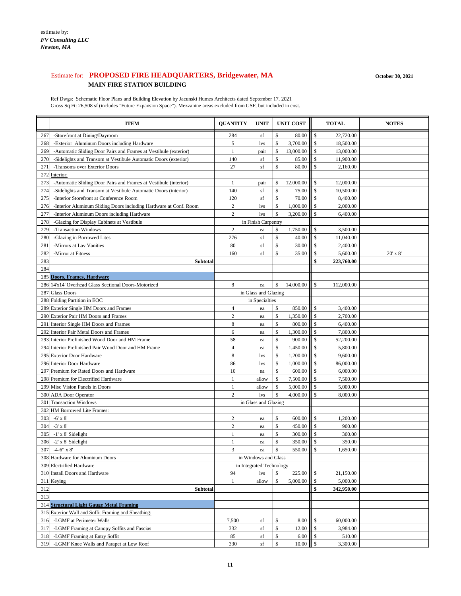### Estimate for: **PROPOSED FIRE HEADQUARTERS, Bridgewater, MA October 30, 2021 MAIN FIRE STATION BUILDING**

| Ref Dwgs: Schematic Floor Plans and Building Elevation by Jacunski Humes Architects dated September 17, 2021         |
|----------------------------------------------------------------------------------------------------------------------|
| Gross Sq Ft: 26,508 sf (includes "Future Expansion Space"). Mezzanine areas excluded from GSF, but included in cost. |
|                                                                                                                      |

|     | <b>ITEM</b>                                                       | <b>QUANTITY</b> | <b>UNIT</b>              |               | <b>UNIT COST</b> |                           | <b>TOTAL</b> | <b>NOTES</b> |
|-----|-------------------------------------------------------------------|-----------------|--------------------------|---------------|------------------|---------------------------|--------------|--------------|
| 267 | -Storefront at Dining/Dayroom                                     | 284             | sf                       | \$            | 80.00            | \$                        | 22,720.00    |              |
| 268 | -Exterior Aluminum Doors including Hardware                       | 5               | <i>lvs</i>               | \$            | 3,700.00         | \$                        | 18,500.00    |              |
| 269 | -Automatic Sliding Door Pairs and Frames at Vestibule (exterior)  |                 | pair                     | \$            | 13,000.00        | \$                        | 13,000.00    |              |
| 270 | -Sidelights and Transom at Vestibule Automatic Doors (exterior)   | 140             | sf                       | \$            | 85.00            | \$                        | 11,900.00    |              |
| 27  | -Transoms over Exterior Doors                                     | 27              | sf                       | \$            | 80.00            | \$                        | 2,160.00     |              |
| 272 | Interior:                                                         |                 |                          |               |                  |                           |              |              |
| 273 | -Automatic Sliding Door Pairs and Frames at Vestibule (interior)  | 1               | pair                     | \$            | 12,000.00        | \$                        | 12,000.00    |              |
| 274 | -Sidelights and Transom at Vestibule Automatic Doors (interior)   | 140             | sf                       | \$            | 75.00            | \$                        | 10,500.00    |              |
| 275 | -Interior Storefront at Conference Room                           | 120             | sf                       | \$            | 70.00            | \$                        | 8,400.00     |              |
| 276 | -Interior Aluminum Sliding Doors including Hardware at Conf. Room | $\sqrt{2}$      | <i>lvs</i>               | \$            | 1,000.00         | \$                        | 2,000.00     |              |
| 277 | -Interior Aluminum Doors including Hardware                       | $\overline{2}$  | lys.                     | \$            | 3,200.00         | \$                        | 6,400.00     |              |
| 278 | -Glazing for Display Cabinets at Vestibule                        |                 | in Finish Carpentry      |               |                  |                           |              |              |
| 279 | -Transaction Windows                                              | 2               | ea                       | \$            | 1,750.00         | \$                        | 3,500.00     |              |
| 280 | -Glazing in Borrowed Lites                                        | 276             | sf                       | \$            | 40.00            | \$                        | 11,040.00    |              |
| 28  | -Mirrors at Lav Vanities                                          | 80              | sf                       | \$            | 30.00            | \$                        | 2,400.00     |              |
| 282 | -Mirror at Fitness                                                | 160             | sf                       | \$            | 35.00            | \$                        | 5,600.00     | $20'$ x $8'$ |
| 283 | <b>Subtotal</b>                                                   |                 |                          |               |                  | \$                        | 223,760.00   |              |
| 284 |                                                                   |                 |                          |               |                  |                           |              |              |
|     | 285 Doors, Frames, Hardware                                       |                 |                          |               |                  |                           |              |              |
|     | 286 14'x14' Overhead Glass Sectional Doors-Motorized              | 8               | ea                       | <sup>\$</sup> | 14,000.00        | $\mathsf{\$}$             | 112,000.00   |              |
| 287 | <b>Glass Doors</b>                                                |                 | in Glass and Glazing     |               |                  |                           |              |              |
|     | 288 Folding Partition in EOC                                      |                 | in Specialties           |               |                  |                           |              |              |
|     | 289 Exterior Single HM Doors and Frames                           | 4               | ea                       | \$            | 850.00           | \$                        | 3,400.00     |              |
|     | 290 Exterior Pair HM Doors and Frames                             | $\overline{2}$  | ea                       | \$            | 1,350.00         | \$                        | 2,700.00     |              |
| 291 | Interior Single HM Doors and Frames                               | $8\,$           | ea                       | \$            | 800.00           | \$                        | 6,400.00     |              |
|     | 292 Interior Pair Metal Doors and Frames                          | 6               | ea                       | \$            | 1,300.00         | \$                        | 7,800.00     |              |
|     | 293 Interior Prefinished Wood Door and HM Frame                   | 58              | ea                       | \$            | 900.00           | \$                        | 52,200.00    |              |
|     | 294 Interior Prefinished Pair Wood Door and HM Frame              | $\overline{4}$  | ea                       | \$            | 1,450.00         | \$                        | 5,800.00     |              |
|     | 295 Exterior Door Hardware                                        | 8               | <i>lvs</i>               | \$            |                  |                           | 9,600.00     |              |
|     | 296 Interior Door Hardware                                        | 86              | lys.                     | \$            | 1,000.00         | \$                        | 86,000.00    |              |
|     | 297 Premium for Rated Doors and Hardware                          | 10              | ea                       | \$            | 600.00           | $\mathbb{S}$              | 6,000.00     |              |
|     | 298 Premium for Electrified Hardware                              |                 | allow                    | \$            | 7,500.00         | \$                        | 7,500.00     |              |
|     | 299 Misc Vision Panels in Doors                                   |                 | allow                    | \$            | 5,000.00         | \$                        | 5,000.00     |              |
|     | 300 ADA Door Operator                                             | $\overline{2}$  | <i>lvs</i>               | \$            | 4,000.00         | \$                        | 8,000.00     |              |
|     | 301 Transaction Windows                                           |                 | in Glass and Glazing     |               |                  |                           |              |              |
| 303 | 302 HM Borrowed Lite Frames:<br>$-6'$ x $8'$                      | $\overline{2}$  |                          | \$            | 600.00           | \$                        | 1,200.00     |              |
| 304 | $-3'$ x $8'$                                                      | $\overline{c}$  | ea                       | \$            | 450.00           | \$                        | 900.00       |              |
| 305 | -1' x 8' Sidelight                                                |                 | ea<br>ea                 | \$            | 300.00           | \$                        | 300.00       |              |
| 306 | -2' x 8' Sidelight                                                |                 | ea                       | \$            | 350.00           | \$                        | 350.00       |              |
| 307 | $-4-6"$ x 8'                                                      | 3               | ea                       | \$            | 550.00           | \$                        | 1,650.00     |              |
|     | 308 Hardware for Aluminum Doors                                   |                 | in Windows and Glass     |               |                  |                           |              |              |
|     | 309 Electrified Hardware                                          |                 | in Integrated Technology |               |                  |                           |              |              |
|     | 310 Install Doors and Hardware                                    | 94              | <i>lvs</i>               | \$            | 225.00           | \$                        | 21,150.00    |              |
|     | 311 Keying                                                        |                 | allow                    | \$            | 5,000.00         | \$                        | 5,000.00     |              |
| 312 | <b>Subtotal</b>                                                   |                 |                          |               |                  | \$                        | 342,950.00   |              |
| 313 |                                                                   |                 |                          |               |                  |                           |              |              |
|     | 314 Structural Light Gauge Metal Framing                          |                 |                          |               |                  |                           |              |              |
|     | 315 Exterior Wall and Soffit Framing and Sheathing:               |                 |                          |               |                  |                           |              |              |
| 316 | -LGMF at Perimeter Walls                                          | 7,500           | sf                       | \$            | 8.00             | $\boldsymbol{\mathsf{S}}$ | 60,000.00    |              |
| 317 | -LGMF Framing at Canopy Soffits and Fascias                       | 332             | sf                       | \$            | 12.00            | \$                        | 3,984.00     |              |
| 318 | -LGMF Framing at Entry Soffit                                     | 85              | sf                       | \$            | 6.00             | \$                        | 510.00       |              |
| 319 | -LGMF Knee Walls and Parapet at Low Roof                          | 330             | sf                       | \$            | 10.00            | \$                        | 3,300.00     |              |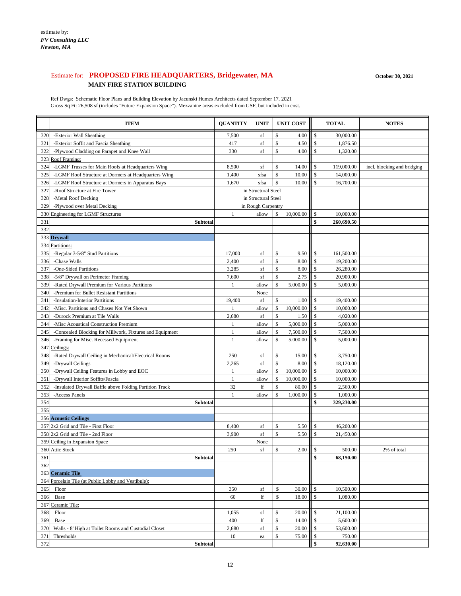#### Estimate for: **PROPOSED FIRE HEADQUARTERS, Bridgewater, MA October 30, 2021 MAIN FIRE STATION BUILDING**

Ref Dwgs: Schematic Floor Plans and Building Elevation by Jacunski Humes Architects dated September 17, 2021 Gross Sq Ft: 26,508 sf (includes "Future Expansion Space"). Mezzanine areas excluded from GSF, but included in cost.

|     | <b>ITEM</b>                                              | <b>QUANTITY</b> | <b>UNIT</b>         |                           | <b>UNIT COST</b> |                           | <b>TOTAL</b> | <b>NOTES</b>                |
|-----|----------------------------------------------------------|-----------------|---------------------|---------------------------|------------------|---------------------------|--------------|-----------------------------|
| 320 | -Exterior Wall Sheathing                                 | 7,500           | sf                  | \$                        | 4.00             | \$                        | 30,000.00    |                             |
| 321 | -Exterior Soffit and Fascia Sheathing                    | 417             | sf                  | \$                        | 4.50             | \$                        | 1,876.50     |                             |
| 322 | -Plywood Cladding on Parapet and Knee Wall               | 330             | sf                  | \$                        | 4.00             | \$                        | 1,320.00     |                             |
|     | 323 Roof Framing:                                        |                 |                     |                           |                  |                           |              |                             |
| 324 | -LGMF Trusses for Main Roofs at Headquarters Wing        | 8,500           | sf                  | \$                        | 14.00            | \$                        | 119,000.00   | incl. blocking and bridging |
| 325 | -LGMF Roof Structure at Dormers at Headquarters Wing     | 1,400           | sfsa                | $\$\,$                    | 10.00            | $\mathcal{S}$             | 14,000.00    |                             |
| 326 | -LGMF Roof Structure at Dormers in Apparatus Bays        | 1,670           | sfsa                | $\boldsymbol{\mathsf{S}}$ | 10.00            | $\sqrt{3}$                | 16,700.00    |                             |
| 327 | -Roof Structure at Fire Tower                            |                 | in Structural Steel |                           |                  |                           |              |                             |
| 328 | -Metal Roof Decking                                      |                 | in Structural Steel |                           |                  |                           |              |                             |
| 329 | -Plywood over Metal Decking                              |                 | in Rough Carpentry  |                           |                  |                           |              |                             |
|     | 330 Engineering for LGMF Structures                      | -1              | allow               | \$                        | 10,000.00        | $\mathcal{S}$             | 10,000.00    |                             |
| 331 | <b>Subtotal</b>                                          |                 |                     |                           |                  | \$                        | 260,690.50   |                             |
| 332 |                                                          |                 |                     |                           |                  |                           |              |                             |
|     | 333 Drywall                                              |                 |                     |                           |                  |                           |              |                             |
|     | 334 Partitions:                                          |                 |                     |                           |                  |                           |              |                             |
| 335 | -Regular 3-5/8" Stud Partitions                          | 17,000          | sf                  | \$                        | 9.50             | $\mathcal{S}$             | 161,500.00   |                             |
| 336 | -Chase Walls                                             | 2,400           | sf                  | \$                        | 8.00             | $\mathcal{S}$             | 19,200.00    |                             |
| 337 | -One-Sided Partitions                                    | 3,285           | sf                  | \$                        | 8.00             | $\sqrt[6]{\frac{1}{2}}$   | 26,280.00    |                             |
| 338 | -5/8" Drywall on Perimeter Framing                       | 7,600           | sf                  | \$                        | 2.75             | $\mathcal{S}$             | 20,900.00    |                             |
| 339 | -Rated Drywall Premium for Various Partitions            | -1              | allow               | $\mathbb{S}$              | 5,000.00         | \$                        | 5,000.00     |                             |
| 340 | -Premium for Bullet Resistant Partitions                 |                 | None                |                           |                  |                           |              |                             |
| 341 | -Insulation-Interior Partitions                          | 19,400          | sf                  | $\mathcal{S}$             | 1.00             | \$                        | 19,400.00    |                             |
| 342 | -Misc. Partitions and Chases Not Yet Shown               |                 | allow               | \$                        | 10,000.00        | $\sqrt{3}$                | 10,000.00    |                             |
| 343 | -Durock Premium at Tile Walls                            | 2,680           | sf                  | \$                        | 1.50             | -\$                       | 4,020.00     |                             |
| 344 | -Misc Acoustical Construction Premium                    |                 | allow               | $\boldsymbol{\mathsf{S}}$ | 5,000.00         | $\sqrt{3}$                | 5,000.00     |                             |
| 345 | -Concealed Blocking for Millwork, Fixtures and Equipment |                 | allow               | \$                        | 7,500.00         | $\sqrt[6]{\frac{1}{2}}$   | 7,500.00     |                             |
| 346 | -Framing for Misc. Recessed Equipment                    |                 | allow               | \$                        | 5,000.00         | $\sqrt{3}$                | 5,000.00     |                             |
|     | 347 Ceilings:                                            |                 |                     |                           |                  |                           |              |                             |
| 348 | -Rated Drywall Ceiling in Mechanical/Electrical Rooms    | 250             | $\sqrt{\text{sf}}$  | \$                        | 15.00            | $\boldsymbol{\mathsf{S}}$ | 3,750.00     |                             |
| 349 | -Drywall Ceilings                                        | 2,265           | sf                  | \$                        | 8.00             | -S                        | 18,120.00    |                             |
| 350 | -Drywall Ceiling Features in Lobby and EOC               |                 | allow               | \$                        | 10,000.00        | -\$                       | 10,000.00    |                             |
| 351 | -Drywall Interior Soffits/Fascia                         | 1               | allow               | \$                        | 10,000.00        | $\sqrt[6]{\frac{1}{2}}$   | 10,000.00    |                             |
| 352 | -Insulated Drywall Baffle above Folding Partition Track  | 32              | lf                  | \$                        | 80.00            | -S                        | 2,560.00     |                             |
| 353 | -Access Panels                                           | 1               | allow               | \$                        | 1,000.00         | $\sqrt[6]{\frac{1}{2}}$   | 1,000.00     |                             |
| 354 | <b>Subtotal</b>                                          |                 |                     |                           |                  | \$                        | 329,230.00   |                             |
| 355 |                                                          |                 |                     |                           |                  |                           |              |                             |
|     | 356 Acoustic Ceilings                                    |                 |                     |                           |                  |                           |              |                             |
|     | 357 2x2 Grid and Tile - First Floor                      | 8,400           | sf                  | \$                        | 5.50             | $\mathcal{S}$             | 46,200.00    |                             |
|     | 358 2x2 Grid and Tile - 2nd Floor                        | 3,900           | sf                  | \$                        | 5.50             | \$                        | 21,450.00    |                             |
|     | 359 Ceiling in Expansion Space                           |                 | None                |                           |                  |                           |              |                             |
|     |                                                          |                 |                     |                           |                  |                           |              |                             |

361 **Subtotal \$ 68,150.00**

362

|     | 363 Ceramic Tile                                     |       |    |                      |    |           |  |
|-----|------------------------------------------------------|-------|----|----------------------|----|-----------|--|
|     | 364 Porcelain Tile (at Public Lobby and Vestibule):  |       |    |                      |    |           |  |
| 365 | Floor                                                | 350   | sf | $30.00 \parallel$ \$ |    | 10,500.00 |  |
| 366 | Base                                                 | 60    | lf | 18.00                |    | 1,080.00  |  |
|     | 367 Ceramic Tile:                                    |       |    |                      |    |           |  |
| 368 | Floor                                                | 1,055 | sf | $20.00 \parallel$ \$ |    | 21,100.00 |  |
| 369 | Base                                                 | 400   | lf | 14.00                | -8 | 5,600.00  |  |
| 370 | Walls - 8' High at Toilet Rooms and Custodial Closet | 2,680 | sf | 20.00                |    | 53,600.00 |  |
| 371 | Thresholds                                           | 10    | ea | $75.00 \parallel$ \$ |    | 750.00    |  |
| 372 | <b>Subtotal</b>                                      |       |    |                      |    | 92,630.00 |  |

360 Attic Stock 2% of total 250 sf  $\begin{array}{ccc} 250 & 1 & 1 \end{array}$  sf  $\begin{array}{ccc} 1 \quad 2 \quad 50 & 1 \end{array}$  sf  $\begin{array}{ccc} 3 \quad 2 \quad 2 \quad 0 & 1 \end{array}$  3500.00  $\begin{array}{ccc} 2 \quad 2 \quad 3 \quad 2 \quad 5 \end{array}$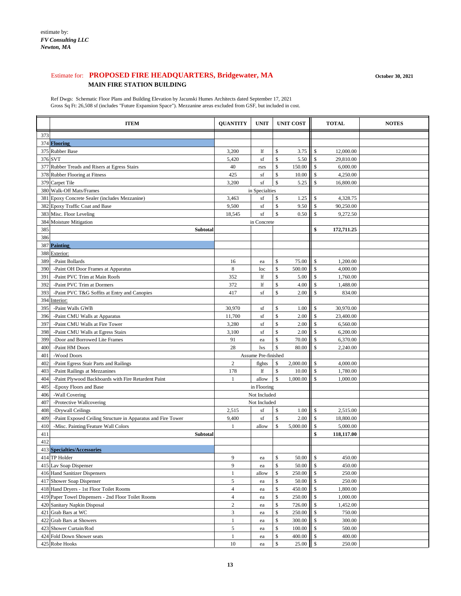#### Estimate for: **PROPOSED FIRE HEADQUARTERS, Bridgewater, MA October 30, 2021 MAIN FIRE STATION BUILDING**

|     | <b>ITEM</b>                                                  | <b>QUANTITY</b> | <b>UNIT</b>         |                           | <b>UNIT COST</b> |                           | <b>TOTAL</b> | <b>NOTES</b> |
|-----|--------------------------------------------------------------|-----------------|---------------------|---------------------------|------------------|---------------------------|--------------|--------------|
| 373 |                                                              |                 |                     |                           |                  |                           |              |              |
|     | 374 Flooring                                                 |                 |                     |                           |                  |                           |              |              |
|     | 375 Rubber Base                                              | 3,200           | lf                  | $\$\,$                    | 3.75             | \$                        | 12,000.00    |              |
|     | 376 SVT                                                      | 5,420           | sf                  | \$                        | 5.50             | \$                        | 29,810.00    |              |
|     | 377 Rubber Treads and Risers at Egress Stairs                | 40              | rsrs                | $\$\,$                    | 150.00           | \$                        | 6,000.00     |              |
|     | 378 Rubber Flooring at Fitness                               | 425             | sf                  | \$                        | 10.00            | \$                        | 4,250.00     |              |
|     | 379 Carpet Tile                                              | 3,200           | sf                  | \$                        | 5.25             | \$                        | 16,800.00    |              |
|     | 380 Walk-Off Mats/Frames                                     |                 | in Specialties      |                           |                  |                           |              |              |
|     | 381 Epoxy Concrete Sealer (includes Mezzanine)               | 3,463           | sf                  | \$                        | 1.25             | \$                        | 4,328.75     |              |
|     | 382 Epoxy Traffic Coat and Base                              | 9,500           | sf                  | \$                        | 9.50             | \$                        | 90,250.00    |              |
|     | 383 Misc. Floor Leveling                                     | 18,545          | $\sqrt{\text{sf}}$  | \$                        | 0.50             | \$                        | 9,272.50     |              |
|     | 384 Moisture Mitigation                                      |                 | in Concrete         |                           |                  |                           |              |              |
| 385 | <b>Subtotal</b>                                              |                 |                     |                           |                  | \$                        | 172,711.25   |              |
| 386 |                                                              |                 |                     |                           |                  |                           |              |              |
|     | 387 Painting                                                 |                 |                     |                           |                  |                           |              |              |
|     | 388 Exterior:                                                |                 |                     |                           |                  |                           |              |              |
| 389 | -Paint Bollards                                              | 16              | ea                  | \$                        | 75.00            | \$                        | 1,200.00     |              |
| 390 | -Paint OH Door Frames at Apparatus                           | 8               | loc                 | \$                        | 500.00           | \$                        | 4,000.00     |              |
| 391 | -Paint PVC Trim at Main Roofs                                | 352             | lf                  | \$                        | 5.00             | \$                        | 1,760.00     |              |
| 392 | -Paint PVC Trim at Dormers                                   | 372             | 1f                  | \$                        | 4.00             | \$                        | 1,488.00     |              |
| 393 | -Paint PVC T&G Soffits at Entry and Canopies                 | 417             | $\sqrt{\text{sf}}$  | \$                        | 2.00             | \$                        | 834.00       |              |
|     | 394 Interior:                                                |                 |                     |                           |                  |                           |              |              |
| 395 | -Paint Walls GWB                                             | 30,970          | sf                  | \$                        | 1.00             | \$                        | 30,970.00    |              |
| 396 | -Paint CMU Walls at Apparatus                                | 11,700          | sf                  | \$                        | 2.00             | \$                        | 23,400.00    |              |
| 397 | -Paint CMU Walls at Fire Tower                               | 3,280           | sf                  | \$                        | 2.00             | \$                        | 6,560.00     |              |
| 398 | -Paint CMU Walls at Egress Stairs                            | 3,100           | sf                  | \$                        | 2.00             | \$                        | 6,200.00     |              |
| 399 | -Door and Borrowed Lite Frames                               | 91              | ea                  | \$                        | 70.00            | \$                        | 6,370.00     |              |
| 400 | -Paint HM Doors                                              | 28              | <i>lvs</i>          | \$                        | 80.00            | \$                        | 2,240.00     |              |
| 401 | -Wood Doors                                                  |                 | Assume Pre-finished |                           |                  |                           |              |              |
| 402 | -Paint Egress Stair Parts and Railings                       | 2               | flghts              | \$                        | 2,000.00         | $\boldsymbol{\mathsf{S}}$ | 4,000.00     |              |
| 403 | -Paint Railings at Mezzanines                                | 178             | 1f                  | $\boldsymbol{\$}$         | 10.00            | $\boldsymbol{\mathsf{S}}$ | 1,780.00     |              |
| 404 | -Paint Plywood Backboards with Fire Retardent Paint          | 1               | allow               | $\boldsymbol{\mathsf{S}}$ | 1,000.00         | $\mathsf{\$}$             | 1,000.00     |              |
| 405 | -Epoxy Floors and Base                                       |                 | in Flooring         |                           |                  |                           |              |              |
| 406 | -Wall Covering                                               |                 | Not Included        |                           |                  |                           |              |              |
| 407 | -Protective Wallcovering                                     |                 | Not Included        |                           |                  |                           |              |              |
| 408 | -Drywall Ceilings                                            | 2,515           | $\sqrt{\text{sf}}$  | \$                        | 1.00             | \$                        | 2,515.00     |              |
| 409 | -Paint Exposed Ceiling Structure in Apparatus and Fire Tower | 9,400           | $\sqrt{\text{sf}}$  | \$                        | 2.00             | $\boldsymbol{\mathsf{S}}$ | 18,800.00    |              |
| 410 | -Misc. Painting/Feature Wall Colors                          |                 | allow               | \$                        | 5,000.00         | \$                        | 5,000.00     |              |
| 411 | <b>Subtotal</b>                                              |                 |                     |                           |                  | \$                        | 118,117.00   |              |
| 412 |                                                              |                 |                     |                           |                  |                           |              |              |
|     | 413 Specialties/Accessories                                  |                 |                     |                           |                  |                           |              |              |
|     | 414 TP Holder                                                | 9               | ea                  | $\$\,$                    | 50.00            | \$                        | 450.00       |              |
|     | 415 Lav Soap Dispenser                                       | 9               | ea                  | \$                        | 50.00            | \$                        | 450.00       |              |
|     | 416 Hand Sanitizer Dispensers                                |                 | allow               | \$                        | 250.00           | \$                        | 250.00       |              |
|     | 417 Shower Soap Dispenser                                    | 5               | ea                  | \$                        | 50.00            | \$                        | 250.00       |              |
|     | 418 Hand Dryers - 1st Floor Toilet Rooms                     | 4               | ea                  | \$                        | 450.00           | \$                        | 1,800.00     |              |
|     | 419 Paper Towel Dispensers - 2nd Floor Toilet Rooms          | 4               | ea                  | \$                        | 250.00           | \$                        | 1,000.00     |              |
|     | 420 Sanitary Napkin Disposal                                 | $\sqrt{2}$      | ea                  | \$                        | 726.00           | \$                        | 1,452.00     |              |
|     | 421 Grab Bars at WC                                          | 3               | ea                  | $\boldsymbol{\mathsf{S}}$ | 250.00           | \$                        | 750.00       |              |
|     | 422 Grab Bars at Showers                                     |                 | ea                  | \$                        | 300.00           | \$                        | 300.00       |              |
|     | 423 Shower Curtain/Rod                                       | 5               | ea                  | \$                        | 100.00           | \$                        | 500.00       |              |
|     | 424 Fold Down Shower seats                                   |                 | ea                  | \$                        | 400.00           | \$                        | 400.00       |              |
|     | 425 Robe Hooks                                               | 10              | ea                  | \$                        | 25.00            | \$                        | 250.00       |              |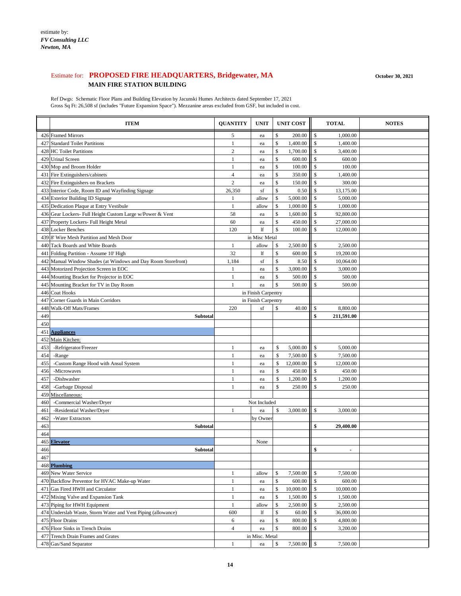468 Plumbing

#### Estimate for: PROPOSED FIRE HEADQUARTERS, Bridgewater, MA MAIN FIRE STATION BUILDING

October 30, 2021

|     | <b>ITEM</b>                                                   | <b>QUANTITY</b> | <b>UNIT</b>         | <b>UNIT COST</b>                       |                           | <b>TOTAL</b> | <b>NOTES</b> |
|-----|---------------------------------------------------------------|-----------------|---------------------|----------------------------------------|---------------------------|--------------|--------------|
|     | 426 Framed Mirrors                                            | 5               | ea                  | 200.00<br>\$                           | \$                        | 1,000.00     |              |
|     | 427 Standard Toilet Partitions                                |                 | ea                  | 1,400.00<br>$\mathcal{S}$              | \$                        | 1,400.00     |              |
|     | 428 HC Toilet Partitions                                      | $\overline{2}$  | ea                  | \$<br>1,700.00                         | <sup>\$</sup>             | 3,400.00     |              |
|     | 429 Urinal Screen                                             |                 | ea                  | $\mathcal{S}$<br>600.00                | $\mathcal{S}$             | 600.00       |              |
|     | 430 Mop and Broom Holder                                      |                 | ea                  | \$<br>100.00                           | <sup>\$</sup>             | 100.00       |              |
|     | 431 Fire Extinguishers/cabinets                               | 4               | ea                  | \$<br>350.00                           | $\mathcal{S}$             | 1,400.00     |              |
|     | 432 Fire Extinguishers on Brackets                            | $\overline{c}$  | ea                  | \$<br>150.00                           | $\boldsymbol{\mathsf{S}}$ | 300.00       |              |
|     | 433 Interior Code, Room ID and Wayfinding Signage             | 26,350          | sf                  | $\mathcal{S}$<br>0.50                  | $\boldsymbol{\mathsf{S}}$ | 13,175.00    |              |
|     | 434 Exterior Building ID Signage                              |                 | allow               | \$<br>5,000.00                         | <sup>\$</sup>             | 5,000.00     |              |
|     | 435 Dedication Plaque at Entry Vestibule                      |                 | allow               | $\boldsymbol{\mathsf{S}}$<br>1,000.00  | <sup>\$</sup>             | 1,000.00     |              |
|     | 436 Gear Lockers- Full Height Custom Large w/Power & Vent     | 58              | ea                  | \$<br>1,600.00                         | $\mathcal{S}$             | 92,800.00    |              |
|     | 437 Property Lockers- Full Height Metal                       | 60              | ea                  | \$<br>450.00                           | -\$                       | 27,000.00    |              |
|     | 438 Locker Benches                                            | 120             | If                  | $\boldsymbol{\mathsf{S}}$<br>100.00    | $\boldsymbol{\mathsf{S}}$ | 12,000.00    |              |
|     | 439 8' Wire Mesh Partition and Mesh Door                      |                 | in Misc Metal       |                                        |                           |              |              |
|     | 440 Tack Boards and White Boards                              |                 | allow               | 2,500.00<br>\$                         | $\mathcal{S}$             | 2,500.00     |              |
|     | 441 Folding Partition - Assume 10' High                       | 32              | lf                  | \$<br>600.00                           | $\mathcal{S}$             | 19,200.00    |              |
|     | 442 Manual Window Shades (at Windows and Day Room Storefront) | 1,184           | $\sqrt{\text{sf}}$  | $\boldsymbol{\mathsf{S}}$<br>8.50      | \$                        | 10,064.00    |              |
|     | 443 Motorized Projection Screen in EOC                        |                 | ea                  | $\boldsymbol{\mathsf{S}}$<br>3,000.00  | -S                        | 3,000.00     |              |
|     | 444 Mounting Bracket for Projector in EOC                     |                 | ea                  | \$<br>500.00                           | $\boldsymbol{\mathsf{S}}$ | 500.00       |              |
|     | 445 Mounting Bracket for TV in Day Room                       |                 | ea                  | $\mathcal{S}$<br>500.00                | <sup>\$</sup>             | 500.00       |              |
|     | 446 Coat Hooks                                                |                 | in Finish Carpentry |                                        |                           |              |              |
|     | 447 Corner Guards in Main Corridors                           |                 | in Finish Carpentry |                                        |                           |              |              |
|     | 448 Walk-Off Mats/Frames                                      | 220             | sf                  | 40.00<br>\$                            | \$                        | 8,800.00     |              |
| 449 | <b>Subtotal</b>                                               |                 |                     |                                        | \$                        | 211,591.00   |              |
| 450 |                                                               |                 |                     |                                        |                           |              |              |
| 451 | <b>Appliances</b>                                             |                 |                     |                                        |                           |              |              |
|     | 452 Main Kitchen:                                             |                 |                     |                                        |                           |              |              |
| 453 | -Refrigerator/Freezer                                         |                 | ea                  | 5,000.00<br>$\mathbb{S}$               | $\sqrt[6]{\frac{1}{2}}$   | 5,000.00     |              |
| 454 | -Range                                                        |                 | ea                  | 7,500.00<br>\$                         | \$                        | 7,500.00     |              |
| 455 | -Custom Range Hood with Ansul System                          |                 | ea                  | 12,000.00<br>$\boldsymbol{\mathsf{S}}$ | \$                        | 12,000.00    |              |
| 456 | -Microwaves                                                   |                 | ea                  | $\mathcal{S}$<br>450.00                | \$                        | 450.00       |              |
| 457 | -Dishwasher                                                   |                 | ea                  | 1,200.00<br>$\boldsymbol{\mathsf{S}}$  | \$                        | 1,200.00     |              |
| 458 | -Garbage Disposal                                             |                 | ea                  | $\boldsymbol{\mathsf{S}}$<br>250.00    | \$                        | 250.00       |              |
| 459 | Miscellaneous:                                                |                 |                     |                                        |                           |              |              |
| 460 | -Commercial Washer/Dryer                                      |                 | Not Included        |                                        |                           |              |              |
| 461 | -Residential Washer/Dryer                                     |                 | ea                  | $\sqrt$<br>3,000.00                    | \$                        | 3,000.00     |              |
| 462 | -Water Extractors                                             |                 | by Owner            |                                        |                           |              |              |
| 463 | <b>Subtotal</b>                                               |                 |                     |                                        | \$                        | 29,400.00    |              |
| 464 |                                                               |                 |                     |                                        |                           |              |              |
|     | 465 Elevator                                                  |                 | None                |                                        |                           |              |              |
| 466 | <b>Subtotal</b>                                               |                 |                     |                                        | $\boldsymbol{\$}$         |              |              |

Ref Dwgs: Schematic Floor Plans and Building Elevation by Jacunski Humes Architects dated September 17, 2021

| 469 New Water Service                                        |     | allow          | $7,500.00$   \$   | 7,500.00  |  |
|--------------------------------------------------------------|-----|----------------|-------------------|-----------|--|
| 470 Backflow Preventor for HVAC Make-up Water                |     | ea             | 600.00            | 600.00    |  |
| 471 Gas Fired HWH and Circulator                             |     | ea             | $10,000.00$    \$ | 10,000.00 |  |
| 472 Mixing Valve and Expansion Tank                          |     | ea             | 1,500.00          | 1,500.00  |  |
| 473 Piping for HWH Equipment                                 |     | allow          | 2,500.00          | 2,500.00  |  |
| 474 Underslab Waste, Storm Water and Vent Piping (allowance) | 600 |                | 60.00             | 36,000.00 |  |
| 475 Floor Drains                                             | 6   | ea             | 800.00            | 4,800.00  |  |
| 476 Floor Sinks in Trench Drains                             |     | ea             | 800.00            | 3,200.00  |  |
| 477 Trench Drain Frames and Grates                           |     | in Misc. Metal |                   |           |  |
| 478 Gas/Sand Separator                                       |     | ea             | $7,500.00$   \$   | 7,500.00  |  |

 $14$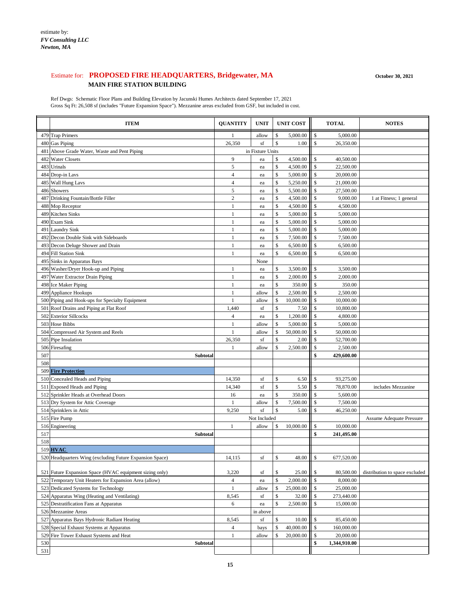520 Headquarters Wing (excluding Future Expansion Space)

#### Estimate for: PROPOSED FIRE HEADQUARTERS, Bridgewater, MA MAIN FIRE STATION BUILDING

October 30, 2021

|     | 479 Trap Primers<br>480 Gas Piping              |                  |                    |                           |             |                  |            |                                 |
|-----|-------------------------------------------------|------------------|--------------------|---------------------------|-------------|------------------|------------|---------------------------------|
|     |                                                 |                  | allow              | \$                        | 5,000.00    | ll \$            | 5,000.00   |                                 |
|     |                                                 | 26,350           | sf                 | $\mathcal{S}$             | 1.00        | $\mathcal{S}$    | 26,350.00  |                                 |
|     | 481 Above Grade Water, Waste and Pent Piping    |                  | in Fixture Units   |                           |             |                  |            |                                 |
|     | 482 Water Closets                               | 9                | ea                 | S                         | 4,500.00    | $\mathcal{S}$    | 40,500.00  |                                 |
|     | 483 Urinals                                     | 5                | ea                 | \$                        | 4,500.00    | ll s             | 22,500.00  |                                 |
|     | 484 Drop-in Lavs                                | 4                | ea                 | \$                        | 5,000.00    | $\mathcal{S}$    | 20,000.00  |                                 |
|     | 485 Wall Hung Lavs                              | 4                | ea                 | \$                        | 5,250.00    | $\mathcal{S}$    | 21,000.00  |                                 |
|     | 486 Showers                                     | 5                | ea                 | \$                        | 5,500.00    | $\mathcal{S}$    | 27,500.00  |                                 |
|     | 487 Drinking Fountain/Bottle Filler             | $\boldsymbol{2}$ | ea                 | \$                        | 4,500.00    | ll \$            | 9,000.00   | 1 at Fitness; 1 general         |
|     | 488 Mop Receptor                                |                  | ea                 | \$                        | 4,500.00    | $\mathcal{S}$    | 4,500.00   |                                 |
|     | 489 Kitchen Sinks                               |                  | ea                 | \$                        | 5,000.00    | ll s             | 5,000.00   |                                 |
|     | 490 Exam Sink                                   |                  | ea                 | \$                        | 5,000.00    | $\mathbb{S}$     | 5,000.00   |                                 |
|     | 491 Laundry Sink                                |                  | ea                 | \$                        | 5,000.00    | $\parallel$ s    | 5,000.00   |                                 |
|     | 492 Decon Double Sink with Sideboards           |                  | ea                 | \$                        | 7,500.00    | ll s             | 7,500.00   |                                 |
|     | 493 Decon Deluge Shower and Drain               |                  | ea                 | \$                        | 6,500.00    | ll \$            | 6,500.00   |                                 |
|     | 494 Fill Station Sink                           |                  | ea                 | \$                        | 6,500.00    | $\mathcal{S}$    | 6,500.00   |                                 |
|     | 495 Sinks in Apparatus Bays                     |                  | None               |                           |             |                  |            |                                 |
|     | 496 Washer/Dryer Hook-up and Piping             |                  | ea                 | \$                        | 3,500.00    | $\parallel$ \$   | 3,500.00   |                                 |
|     | 497 Water Extractor Drain Piping                |                  | ea                 | \$                        | 2,000.00    | $\parallel$ \$   | 2,000.00   |                                 |
|     | 498 Ice Maker Piping                            |                  | ea                 | \$                        | 350.00      | ll s             | 350.00     |                                 |
|     | 499 Appliance Hookups                           |                  | allow              | \$                        | 2,500.00    | $\parallel$ s    | 2,500.00   |                                 |
|     | 500 Piping and Hook-ups for Specialty Equipment |                  | allow              | \$                        | 10,000.00   | $\parallel$ s    | 10,000.00  |                                 |
|     | 501 Roof Drains and Piping at Flat Roof         | 1,440            | sf                 | $\boldsymbol{\mathsf{S}}$ | 7.50        | ∥\$              | 10,800.00  |                                 |
|     | 502 Exterior Sillcocks                          | 4                | ea                 | \$                        | 1,200.00    | ll \$            | 4,800.00   |                                 |
|     | 503 Hose Bibbs                                  |                  | allow              | $\mathcal{S}$             |             |                  | 5,000.00   |                                 |
|     | 504 Compressed Air System and Reels             |                  | allow              | $\mathcal{S}$             | 50,000.00   | $\blacksquare$ s | 50,000.00  |                                 |
|     | 505 Pipe Insulation                             | 26,350           | $\sqrt{\text{sf}}$ | $\boldsymbol{\mathsf{S}}$ | $2.00$   \$ |                  | 52,700.00  |                                 |
|     | 506 Firesafing                                  | 1                | allow              | $\mathcal{S}$             | 2,500.00    | $\parallel$ s    | 2,500.00   |                                 |
| 507 | <b>Subtotal</b>                                 |                  |                    |                           |             | \$               | 429,600.00 |                                 |
| 508 |                                                 |                  |                    |                           |             |                  |            |                                 |
|     | 509 Fire Protection                             |                  |                    |                           |             |                  |            |                                 |
|     | 510 Concealed Heads and Piping                  | 14,350           | sf                 | \$                        | 6.50        | -\$              | 93,275.00  |                                 |
|     | 511 Exposed Heads and Piping                    | 14,340           | sf                 | \$                        | 5.50        | ∥\$              | 78,870.00  | includes Mezzanine              |
|     | 512 Sprinkler Heads at Overhead Doors           | 16               | ea                 | \$                        | 350.00      | -\$              | 5,600.00   |                                 |
|     | 513 Dry System for Attic Coverage               | 1                | allow              | <sup>\$</sup>             | 7,500.00    | $\mathcal{S}$    | 7,500.00   |                                 |
|     | 514 Sprinklers in Attic                         | 9,250            | sf                 | \$                        | 5.00        | -\$              | 46,250.00  |                                 |
|     | 515 Fire Pump                                   |                  | Not Included       |                           |             |                  |            | <b>Assume Adequate Pressure</b> |
|     | 516 Engineering                                 |                  | allow              | \$                        | 10,000.00   | $\mathcal{S}$    | 10,000.00  |                                 |
| 517 | <b>Subtotal</b>                                 |                  |                    |                           |             | \$               | 241,495.00 |                                 |

Ref Dwgs: Schematic Floor Plans and Building Elevation by Jacunski Humes Architects dated September 17, 2021 Gross Sq Ft: 26,508 sf (includes "Future Expansion Space"). Mezzanine areas excluded from GSF, but included in cost.

|     | 521 Future Expansion Space (HVAC equipment sizing only) | 3.220 | sf       | $25.00$   \$          | 80,500.00    | distribution to space excluded |
|-----|---------------------------------------------------------|-------|----------|-----------------------|--------------|--------------------------------|
|     | 522 Temporary Unit Heaters for Expansion Area (allow)   |       | ea       | $2,000.00$   \$       | 8,000.00     |                                |
|     | 523 Dedicated Systems for Technology                    |       | allow    | $25,000.00$   \$      | 25,000.00    |                                |
|     | 524 Apparatus Wing (Heating and Ventilating)            | 8,545 | sf       | 32.00                 | 273,440.00   |                                |
|     | 525 Destratification Fans at Apparatus                  | 6     | ea       | 2,500.00              | 15,000.00    |                                |
|     | 526 Mezzanine Areas                                     |       | in above |                       |              |                                |
|     | 527 Apparatus Bays Hydronic Radiant Heating             | 8,545 | sf       | 10.00                 | 85,450.00    |                                |
|     | 528 Special Exhaust Systems at Apparatus                |       | bays     | 40,000.00 $\parallel$ | 160,000.00   |                                |
|     | 529 Fire Tower Exhaust Systems and Heat                 |       | allow    |                       | 20,000.00    |                                |
| 530 | <b>Subtotal</b>                                         |       |          |                       | 1,344,910.00 |                                |
| 531 |                                                         |       |          |                       |              |                                |

15

14,115

 $_{\rm sf}$ 

 $\mathbb S$ 

48.00

 $\mathbb{S}$ 

677,520.00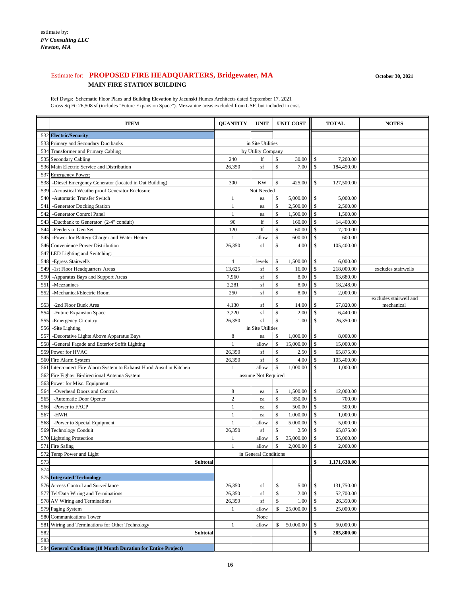#### Estimate for: **PROPOSED FIRE HEADQUARTERS, Bridgewater, MA October 30, 2021 MAIN FIRE STATION BUILDING**

|            | <b>ITEM</b>                                                                             | <b>QUANTITY</b> | <b>UNIT</b>              | <b>UNIT COST</b>                                         |          | <b>TOTAL</b>          | <b>NOTES</b>           |
|------------|-----------------------------------------------------------------------------------------|-----------------|--------------------------|----------------------------------------------------------|----------|-----------------------|------------------------|
|            | 532 Electric/Security                                                                   |                 |                          |                                                          |          |                       |                        |
|            | 533 Primary and Secondary Ductbanks                                                     |                 | in Site Utilities        |                                                          |          |                       |                        |
|            | 534 Transformer and Primary Cabling                                                     |                 | by Utility Company       |                                                          |          |                       |                        |
|            | 535 Secondary Cabling                                                                   | 240             | lf                       | \$<br>30.00                                              | \$       | 7,200.00              |                        |
|            | 536 Main Electric Service and Distribution                                              | 26,350          | sf                       | \$<br>7.00                                               | \$       | 184,450.00            |                        |
|            | 537 Emergency Power:                                                                    |                 |                          |                                                          |          |                       |                        |
| 538        | -Diesel Emergency Generator (located in Out Building)                                   | 300             | <b>KW</b>                | \$<br>425.00                                             | \$       | 127,500.00            |                        |
| 539        | -Acoustical Weatherproof Generator Enclosure                                            |                 | Not Needed               |                                                          |          |                       |                        |
| 540        | -Automatic Transfer Switch                                                              |                 | ea                       | \$<br>5,000.00                                           | \$       | 5,000.00              |                        |
| 541        | -Generator Docking Station                                                              |                 | ea                       | \$<br>2,500.00                                           | \$       | 2,500.00              |                        |
| 542        | -Generator Control Panel                                                                |                 | ea                       | \$<br>1,500.00                                           | \$       | 1,500.00              |                        |
| 543        | -Ductbank to Generator (2-4" conduit)                                                   | 90              | If                       | \$<br>160.00                                             | \$       | 14,400.00             |                        |
| 544        | -Feeders to Gen Set                                                                     | 120             | $\mathbf{If}$            | \$<br>60.00                                              | \$       | 7,200.00              |                        |
| 545 I      | -Power for Battery Charger and Water Heater                                             |                 | allow                    | \$<br>600.00                                             | \$       | 600.00                |                        |
|            | 546 Convenience Power Distribution                                                      | 26,350          | sf                       | \$<br>4.00                                               | \$       | 105,400.00            |                        |
|            | 547 LED Lighting and Switching:                                                         |                 |                          |                                                          |          |                       |                        |
|            | 548 - Egress Stairwells                                                                 | 4               | levels                   | $\boldsymbol{\mathsf{S}}$<br>1,500.00                    | \$       | 6,000.00              |                        |
|            | 549 -1st Floor Headquarters Areas                                                       | 13,625          | sf                       | $\mathcal{S}$<br>16.00                                   | \$       | 218,000.00            | excludes stairwells    |
| 550        | -Apparatus Bays and Support Areas                                                       | 7,960           | $\sqrt{\text{sf}}$       | \$<br>8.00                                               | \$       | 63,680.00             |                        |
| 551        | -Mezzanines                                                                             | 2,281           | sf                       | \$<br>8.00                                               | \$       | 18,248.00             |                        |
| 552        | -Mechanical/Electric Room                                                               | 250             | sf                       | \$<br>8.00                                               | \$       | 2,000.00              |                        |
|            |                                                                                         |                 |                          |                                                          |          |                       | excludes stairwell and |
| 553<br>554 | -2nd Floor Bunk Area<br>-Future Expansion Space                                         | 4,130<br>3,220  | sf<br>$\sqrt{\text{sf}}$ | \$<br>14.00<br>$\mathcal{S}$<br>2.00                     | \$<br>\$ | 57,820.00<br>6,440.00 | mechanical             |
|            | -Emergency Circuitry                                                                    | 26,350          | sf                       | \$<br>1.00                                               | \$       | 26,350.00             |                        |
| 555<br>556 | -Site Lighting                                                                          |                 | in Site Utilities        |                                                          |          |                       |                        |
|            |                                                                                         |                 |                          |                                                          |          | 8,000.00              |                        |
| 557<br>558 | -Decorative Lights Above Apparatus Bays<br>-General Façade and Exterior Soffit Lighting | 8               | ea<br>allow              | \$<br>1,000.00<br>$\boldsymbol{\mathsf{S}}$<br>15,000.00 | \$<br>\$ | 15,000.00             |                        |
|            | 559 Power for HVAC                                                                      | 26,350          |                          |                                                          |          | 65,875.00             |                        |
|            | 560 Fire Alarm System                                                                   | 26,350          | sf<br>sf                 | $\sqrt{2}$<br>2.50<br>$\boldsymbol{\mathsf{S}}$<br>4.00  | \$<br>\$ | 105,400.00            |                        |
|            | 561 Interconnect Fire Alarm System to Exhaust Hood Ansul in Kitchen                     |                 | allow                    | \$<br>1,000.00                                           | \$       | 1,000.00              |                        |
|            | 562 Fire Fighter Bi-directional Antenna System                                          |                 | assume Not Required      |                                                          |          |                       |                        |
|            | 563 Power for Misc. Equipment:                                                          |                 |                          |                                                          |          |                       |                        |
| 564        | -Overhead Doors and Controls                                                            | 8               | ea                       | \$<br>1,500.00                                           | \$       | 12,000.00             |                        |
| 565        | -Automatic Door Opener                                                                  | $\mathfrak{2}$  | ea                       | \$<br>350.00                                             | \$       | 700.00                |                        |
| 566        | -Power to FACP                                                                          |                 | ea                       | \$<br>500.00                                             | \$       | 500.00                |                        |
| 567        | -HWH                                                                                    |                 | ea                       | \$<br>1,000.00                                           | \$       | 1,000.00              |                        |
| 568        | -Power to Special Equipment                                                             |                 | allow                    | \$<br>5,000.00                                           | \$       | 5,000.00              |                        |
|            | 569 Technology Conduit                                                                  | 26,350          | $\sqrt{\text{sf}}$       | \$<br>2.50                                               | \$       | 65,875.00             |                        |
|            | 570 Lightning Protection                                                                |                 | allow                    | \$<br>35,000.00                                          | \$       | 35,000.00             |                        |
|            | 571 Fire Safing                                                                         |                 | allow                    | \$<br>2,000.00                                           | \$       | 2,000.00              |                        |
|            | 572 Temp Power and Light                                                                |                 | in General Conditions    |                                                          |          |                       |                        |
| 573        | <b>Subtotal</b>                                                                         |                 |                          |                                                          | \$       | 1,171,638.00          |                        |
| 574        |                                                                                         |                 |                          |                                                          |          |                       |                        |
|            | 575 Integrated Technology                                                               |                 |                          |                                                          |          |                       |                        |
|            | 576 Access Control and Surveillance                                                     | 26,350          | sf                       | \$<br>5.00                                               | \$       | 131,750.00            |                        |
|            | 577 Tel/Data Wiring and Terminations                                                    | 26,350          | sf                       | \$<br>2.00                                               | \$       | 52,700.00             |                        |
|            | 578 AV Wiring and Terminations                                                          | 26,350          | sf                       | \$<br>1.00                                               | \$       | 26,350.00             |                        |
|            | 579 Paging System                                                                       |                 | allow                    | \$<br>25,000.00                                          | \$       | 25,000.00             |                        |
|            | 580 Communications Tower                                                                |                 | None                     |                                                          |          |                       |                        |
|            | 581 Wiring and Terminations for Other Technology                                        |                 | allow                    | \$<br>50,000.00                                          | \$       | 50,000.00             |                        |
| 582        | <b>Subtotal</b>                                                                         |                 |                          |                                                          | \$       | 285,800.00            |                        |
| 583        |                                                                                         |                 |                          |                                                          |          |                       |                        |
|            | 584 General Conditions (18 Month Duration for Entire Project)                           |                 |                          |                                                          |          |                       |                        |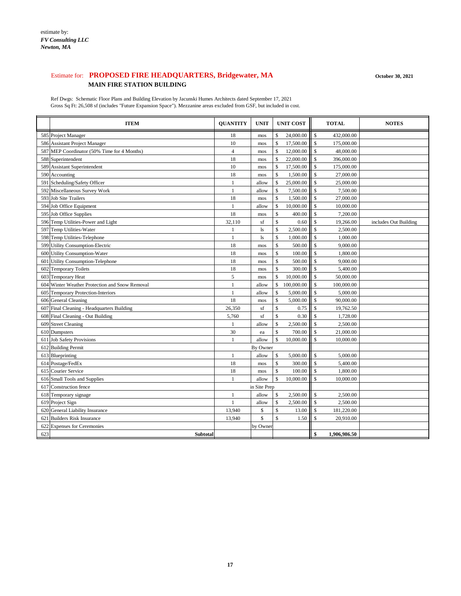#### Estimate for: PROPOSED FIRE HEADQUARTERS, Bridgewater, MA MAIN FIRE STATION BUILDING

October 30, 2021

| <b>ITEM</b>                                    | <b>QUANTITY</b> | <b>UNIT</b>    |               | <b>UNIT COST</b> |                           | <b>TOTAL</b> | <b>NOTES</b>          |
|------------------------------------------------|-----------------|----------------|---------------|------------------|---------------------------|--------------|-----------------------|
| 585 Project Manager                            | 18              | mos            | \$            | 24,000.00        | $\boldsymbol{\mathsf{S}}$ | 432,000.00   |                       |
| 586 Assistant Project Manager                  | 10              | mos            | \$            | 17,500.00        | $\frac{1}{2}$             | 175,000.00   |                       |
| 587 MEP Coordinator (50% Time for 4 Months)    | 4               | mos            | \$            | 12,000.00        | $\sqrt[6]{\frac{1}{2}}$   | 48,000.00    |                       |
| 588 Superintendent                             | 18              | mos            | \$            | 22,000.00        | $\sqrt[6]{\frac{1}{2}}$   | 396,000.00   |                       |
| 589 Assistant Superintendent                   | 10              | mos            | \$            | 17,500.00        | $\sqrt[6]{\frac{1}{2}}$   | 175,000.00   |                       |
| 590 Accounting                                 | 18              | mos            | $\mathbb{S}$  | 1,500.00         | $\mathcal{S}$             | 27,000.00    |                       |
| 591 Scheduling/Safety Officer                  |                 | allow          | \$            | 25,000.00        | $\sqrt[6]{\frac{1}{2}}$   | 25,000.00    |                       |
| 592 Miscellaneous Survey Work                  |                 | allow          | $\mathcal{S}$ | 7,500.00         | $\sqrt[6]{\frac{1}{2}}$   | 7,500.00     |                       |
| 593 Job Site Trailers                          | 18              | mos            | \$            | 1,500.00         | $\sqrt[6]{\frac{1}{2}}$   | 27,000.00    |                       |
| 594 Job Office Equipment                       |                 | allow          | \$            | 10,000.00        | $\mathcal{S}$             | 10,000.00    |                       |
| 595 Job Office Supplies                        | 18              | mos            | \$            | 400.00           | \$                        | 7,200.00     |                       |
| 596 Temp Utilities-Power and Light             | 32,110          | sf             | \$            | 0.60             | <sup>\$</sup>             | 19,266.00    | includes Out Building |
| 597 Temp Utilities-Water                       |                 | 1s             | \$            | 2,500.00         | $\sqrt[6]{\frac{1}{2}}$   | 2,500.00     |                       |
| 598 Temp Utilities-Telephone                   |                 | <sup>1</sup> s | \$            | 1,000.00         | <sup>\$</sup>             | 1,000.00     |                       |
| 599 Utility Consumption-Electric               | 18              | mos            | \$            | 500.00           | $\mathcal{S}$             | 9,000.00     |                       |
| 600 Utility Consumption-Water                  | 18              | mos            | $\frac{1}{2}$ | 100.00           | -S                        | 1,800.00     |                       |
| 601 Utility Consumption-Telephone              | 18              | mos            | \$            | 500.00           | \$                        | 9,000.00     |                       |
| 602 Temporary Toilets                          | 18              | mos            | \$            | 300.00           | -S                        | 5,400.00     |                       |
| 603 Temporary Heat                             | 5               | mos            | \$            | 10,000.00        | $\sqrt[6]{\frac{1}{2}}$   | 50,000.00    |                       |
| 604 Winter Weather Protection and Snow Removal |                 | allow          | \$            | 100,000.00       | $\sqrt[6]{\frac{1}{2}}$   | 100,000.00   |                       |
| 605 Temporary Protection-Interiors             |                 | allow          | \$            | 5,000.00         | $\sqrt[6]{\frac{1}{2}}$   | 5,000.00     |                       |
| 606 General Cleaning                           | 18              | mos            | \$            | 5,000.00         | \$                        | 90,000.00    |                       |
| 607 Final Cleaning - Headquarters Building     | 26,350          | sf             | \$            | 0.75             | \$                        | 19,762.50    |                       |
| 608 Final Cleaning - Out Building              | 5,760           | sf             | \$            | 0.30             | \$                        | 1,728.00     |                       |
| 609 Street Cleaning                            |                 | allow          | \$            | 2,500.00         | $\sqrt[6]{\frac{1}{2}}$   | 2,500.00     |                       |
| 610 Dumpsters                                  | $30\,$          | ea             | \$            | 700.00           | $\mathcal{S}$             | 21,000.00    |                       |
| 611 Job Safety Provisions                      | 1               | allow          | \$            | 10,000.00        | $\boldsymbol{\mathsf{S}}$ | 10,000.00    |                       |
| 612 Building Permit                            |                 | By Owner       |               |                  |                           |              |                       |
| 613 Blueprinting                               |                 | allow          | $\mathbb{S}$  | 5,000.00         | $\$\,$                    | 5,000.00     |                       |
| 614 Postage/FedEx                              | 18              | mos            | \$            | 300.00           | $\$\,$                    | 5,400.00     |                       |
| 615 Courier Service                            | 18              | mos            | \$            | 100.00           | \$                        | 1,800.00     |                       |
| 616 Small Tools and Supplies                   | 1               | allow          | \$            | 10,000.00        | $\sqrt$                   | 10,000.00    |                       |
| 617 Construction fence                         |                 | in Site Prep   |               |                  |                           |              |                       |
| 618 Temporary signage                          |                 | allow          | $\mathbb{S}$  | 2,500.00         | $\$\,$                    | 2,500.00     |                       |
| 619 Project Sign                               |                 | allow          | \$            | 2,500.00         | \$                        | 2,500.00     |                       |
| 620 General Liability Insurance                | 13,940          | \$             | \$            | 13.00            | \$                        | 181,220.00   |                       |
| 621 Builders Risk Insurance                    | 13,940          | \$             | \$            | 1.50             | \$                        | 20,910.00    |                       |
| 622 Expenses for Ceremonies                    |                 | by Owner       |               |                  |                           |              |                       |

Ref Dwgs: Schematic Floor Plans and Building Elevation by Jacunski Humes Architects dated September 17, 2021 Gross Sq Ft: 26,508 sf (includes "Future Expansion Space"). Mezzanine areas excluded from GSF, but included in cost.

17

Subtotal

1,906,986.50

\$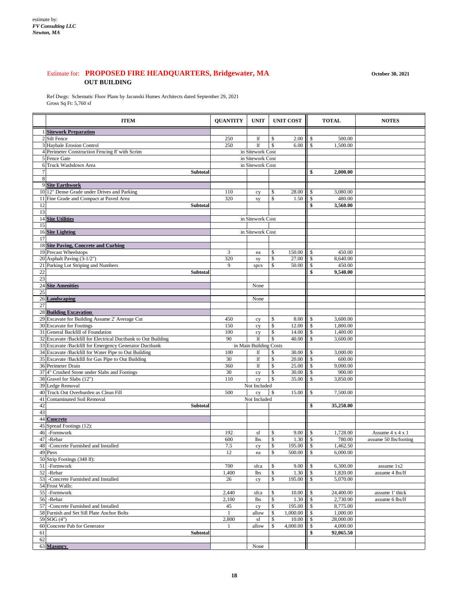|                 | <b>ITEM</b>                                                               | <b>QUANTITY</b> | <b>UNIT</b>                          |                                            | <b>UNIT COST</b> |                           | <b>TOTAL</b>         | <b>NOTES</b>          |
|-----------------|---------------------------------------------------------------------------|-----------------|--------------------------------------|--------------------------------------------|------------------|---------------------------|----------------------|-----------------------|
|                 | <b>Sitework Preparation</b>                                               |                 |                                      |                                            |                  |                           |                      |                       |
|                 | $2$ Silt Fence                                                            | 250             | 1f                                   | $\boldsymbol{\mathsf{S}}$                  | 2.00             | $\mathbb{S}$              | 500.00               |                       |
|                 | 3 Haybale Erosion Control                                                 | 250             | 1f                                   | $\mathcal{S}$                              | 6.00             | $\mathbb{S}$              | 1,500.00             |                       |
|                 | 4 Perimeter Construction Fencing 8' with Scrim                            |                 | in Sitework Cost                     |                                            |                  |                           |                      |                       |
|                 | 5 Fence Gate<br>6 Truck Washdown Area                                     |                 | in Sitework Cost<br>in Sitework Cost |                                            |                  |                           |                      |                       |
|                 | <b>Subtotal</b>                                                           |                 |                                      |                                            |                  | \$                        | 2,000.00             |                       |
| 8               |                                                                           |                 |                                      |                                            |                  |                           |                      |                       |
|                 | 9 Site Earthwork                                                          |                 |                                      |                                            |                  |                           |                      |                       |
|                 | 10 12" Dense Grade under Drives and Parking                               | 110             | cy                                   | $\boldsymbol{\mathsf{S}}$                  | 28.00            | \$                        | 3,080.00             |                       |
|                 | 11 Fine Grade and Compact at Paved Area                                   | 320             | sy                                   | $\mathcal{S}$                              | 1.50             | $\mathcal{S}$             | 480.00               |                       |
| 12              | <b>Subtotal</b>                                                           |                 |                                      |                                            |                  | \$                        | 3,560.00             |                       |
| 13              |                                                                           |                 |                                      |                                            |                  |                           |                      |                       |
|                 | 14 Site Utilities                                                         |                 | in Sitework Cost                     |                                            |                  |                           |                      |                       |
| 15              |                                                                           |                 |                                      |                                            |                  |                           |                      |                       |
|                 | 16 Site Lighting                                                          |                 | in Sitework Cost                     |                                            |                  |                           |                      |                       |
| 17              |                                                                           |                 |                                      |                                            |                  |                           |                      |                       |
|                 | <b>18 Site Paving, Concrete and Curbing</b>                               |                 |                                      |                                            |                  |                           |                      |                       |
|                 | 19 Precast Wheelstops                                                     | 3               | ea                                   | $\mathcal{S}$                              | 150.00           | $\mathcal{S}$             | 450.00               |                       |
|                 | 20 Asphalt Paving $(3-1/2")$                                              | 320             | sy                                   | $\boldsymbol{\mathsf{S}}$                  | 27.00            | $\mathcal{S}$             | 8,640.00             |                       |
|                 | 21 Parking Lot Striping and Numbers                                       | 9               | spcs                                 | $\mathcal{S}$                              | 50.00            | \$                        | 450.00               |                       |
| $22\,$          | <b>Subtotal</b>                                                           |                 |                                      |                                            |                  | \$                        | 9,540.00             |                       |
| $\overline{23}$ |                                                                           |                 |                                      |                                            |                  |                           |                      |                       |
| 24<br>25        | <b>Site Amenities</b>                                                     |                 | None                                 |                                            |                  |                           |                      |                       |
|                 | 26 Landscaping                                                            |                 | None                                 |                                            |                  |                           |                      |                       |
| $\overline{27}$ |                                                                           |                 |                                      |                                            |                  |                           |                      |                       |
|                 | <b>28 Building Excavation</b>                                             |                 |                                      |                                            |                  |                           |                      |                       |
|                 | 29 Excavate for Building Assume 2' Average Cut                            | 450             | cy                                   | $\boldsymbol{\mathsf{S}}$                  | 8.00             | $\boldsymbol{\mathsf{S}}$ | 3,600.00             |                       |
|                 | 30 Excavate for Footings                                                  | 150             | cy                                   | $\boldsymbol{\mathsf{S}}$                  | 12.00            | $\mathcal{S}$             | 1,800.00             |                       |
|                 | 31 General Backfill of Foundation                                         | 100             | cy                                   | $\mathbb{S}$                               | 14.00            | $\mathcal{S}$             | 1,400.00             |                       |
|                 | 32 Excavate /Backfill for Electrical Ductbank to Out Building             | 90              | lf                                   | $\mathcal{S}$                              | 40.00            | $\mathbf{\hat{S}}$        | 3,600.00             |                       |
|                 | 33 Excavate /Backfill for Emergency Generator Ductbank                    |                 | in Main Building Costs               |                                            |                  |                           |                      |                       |
|                 | 34 Excavate / Backfill for Water Pipe to Out Building                     | 100             | lf                                   | -S                                         | 30.00            | -\$                       | 3,000.00             |                       |
|                 | 35 Excavate /Backfill for Gas Pipe to Out Building                        | 30              | 1f                                   | $\mathcal{S}$                              | 20.00            | $\mathbb{S}$              | 600.00               |                       |
|                 | 36 Perimeter Drain                                                        | 360             | 1f                                   | $\mathcal{S}$                              | 25.00            | $\mathbf{s}$              | 9,000.00             |                       |
|                 | 37 <sup>4</sup> Crushed Stone under Slabs and Footings                    | 30              | cy                                   | $\mathcal{S}$                              | 30.00            | $\mathbb{S}$              | 900.00               |                       |
|                 | 38 Gravel for Slabs (12")                                                 | 110             | cy                                   | $\mathcal{S}$                              | 35.00            | \$                        | 3,850.00             |                       |
|                 | 39 Ledge Removal                                                          |                 | Not Included                         |                                            |                  |                           |                      |                       |
|                 | 40 Truck Out Overburden as Clean Fill<br><b>Contaminated Soil Removal</b> | 500             | cy<br>Not Included                   | $\mathcal{S}$                              | 15.00            | \$                        | 7,500.00             |                       |
| 42              | <b>Subtotal</b>                                                           |                 |                                      |                                            |                  | \$                        | 35,250.00            |                       |
| 43              |                                                                           |                 |                                      |                                            |                  |                           |                      |                       |
|                 | 44 Concrete                                                               |                 |                                      |                                            |                  |                           |                      |                       |
|                 | 45 Spread Footings (12):                                                  |                 |                                      |                                            |                  |                           |                      |                       |
|                 | 46 - Formwork                                                             | 192             | sf                                   | \$                                         | 9.00             | \$                        | 1,728.00             | Assume 4 x 4 x 1      |
| 47              | -Rebar                                                                    | 600             | lbs                                  | $\mathcal{S}$                              | 1.30             | $\mathcal{S}$             | 780.00               | assume 50 lbs/footing |
| 48              | -Concrete Furnished and Installed                                         | $7.5$           | cy                                   | $\boldsymbol{\mathsf{S}}$                  | 195.00           | $\boldsymbol{\mathsf{S}}$ | 1,462.50             |                       |
|                 | 49 Piers                                                                  | 12              | ea                                   | $\mathcal{S}$                              | 500.00           | \$                        | 6,000.00             |                       |
|                 | 50 Strip Footings (348 lf):                                               |                 |                                      |                                            |                  |                           |                      |                       |
| 51              | -Formwork                                                                 | 700             | sfca                                 | $\boldsymbol{\mathsf{S}}$                  | 9.00             | $\mathcal{S}$             | 6,300.00             | assume 1x2            |
| 52              | -Rebar                                                                    | 1,400           | lbs                                  | $\mathcal{S}$                              | 1.30             | $\mathbb{S}$              | 1,820.00             | assume 4 lbs/lf       |
| 53              | -Concrete Furnished and Installed                                         | 26              | cy                                   | $\mathcal{S}$                              | 195.00           | $\mathbb{S}$              | 5,070.00             |                       |
|                 | 54 Frost Walls:                                                           |                 |                                      |                                            |                  |                           |                      |                       |
|                 | 55 - Formwork                                                             | 2,440           | sfca                                 | \$                                         | 10.00            | \$                        | 24,400.00            | assume 1' thick       |
| 57              | 56 -Rebar<br>-Concrete Furnished and Installed                            | 2,100<br>45     | lbs                                  | $\mathcal{S}$<br>$\boldsymbol{\mathsf{S}}$ | 1.30<br>195.00   | \$<br>$\mathcal{S}$       | 2,730.00<br>8,775.00 | assume 6 lbs/lf       |
|                 | 58 Furnish and Set Sill Plate Anchor Bolts                                |                 | cy<br>allow                          | \$                                         | 1,000.00         | $\mathcal{S}$             | 1,000.00             |                       |
|                 | 59 SOG (4")                                                               | 2,800           | $\sqrt{\text{sf}}$                   | \$                                         | 10.00            | $\mathbb{S}$              | 28,000.00            |                       |
|                 | 60 Concrete Pab for Generator                                             |                 | allow                                | <sup>\$</sup>                              | 4,000.00         | \$                        | 4,000.00             |                       |
| 61              | <b>Subtotal</b>                                                           |                 |                                      |                                            |                  | \$                        | 92,065.50            |                       |
| 62              |                                                                           |                 |                                      |                                            |                  |                           |                      |                       |
|                 | 63 Masonry                                                                |                 | None                                 |                                            |                  |                           |                      |                       |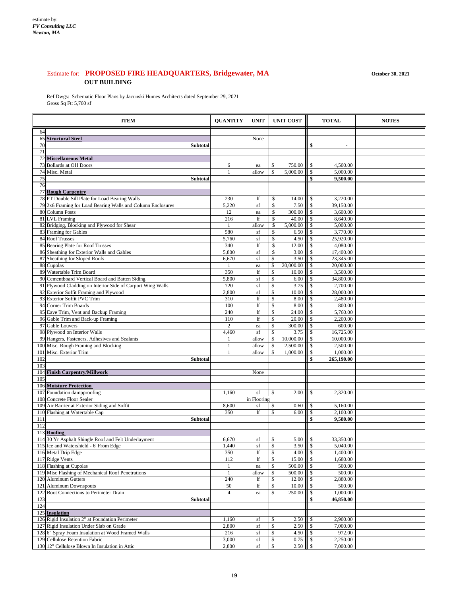|            | <b>ITEM</b>                                                                                                     | <b>QUANTITY</b> | <b>UNIT</b>              |                                            | <b>UNIT COST</b> |                                | <b>TOTAL</b>           | <b>NOTES</b> |
|------------|-----------------------------------------------------------------------------------------------------------------|-----------------|--------------------------|--------------------------------------------|------------------|--------------------------------|------------------------|--------------|
| 64         |                                                                                                                 |                 |                          |                                            |                  |                                |                        |              |
|            | 65 Structural Steel                                                                                             |                 | None                     |                                            |                  |                                |                        |              |
| 70<br>71   | Subtotal                                                                                                        |                 |                          |                                            |                  | \$                             |                        |              |
|            | 72 Miscellaneous Metal                                                                                          |                 |                          |                                            |                  |                                |                        |              |
|            | 73 Bollards at OH Doors                                                                                         | 6               | ea                       | $\boldsymbol{\mathsf{S}}$                  | 750.00           | \$                             | 4,500.00               |              |
|            | 74 Misc. Metal                                                                                                  |                 | allow                    | $\mathcal{S}$                              | 5,000.00         | \$                             | 5,000.00               |              |
| 75         | <b>Subtotal</b>                                                                                                 |                 |                          |                                            |                  | \$                             | 9,500.00               |              |
| 76         |                                                                                                                 |                 |                          |                                            |                  |                                |                        |              |
|            | <b>77 Rough Carpentry</b>                                                                                       | 230             |                          |                                            |                  |                                | 3,220.00               |              |
|            | 78 PT Double Sill Plate for Load Bearing Walls<br>$79$ 2x6 Framing for Load Bearing Walls and Column Enclosures | 5,220           | 1f<br>sf                 | \$<br>\$                                   | 14.00<br>7.50    | \$<br>$\mathcal{S}$            | 39,150.00              |              |
|            | 80 Column Posts                                                                                                 | 12              | ea                       | \$                                         | 300.00           | $\mathcal{S}$                  | 3,600.00               |              |
|            | 81 LVL Framing                                                                                                  | 216             | lf                       | \$                                         | 40.00            | $\mathcal{S}$                  | 8,640.00               |              |
|            | 82 Bridging, Blocking and Plywood for Shear                                                                     | -1              | allow                    | \$                                         | 5,000.00         | $\mathbb{S}$                   | 5,000.00               |              |
|            | 83 Framing for Gables                                                                                           | 580             | sf                       | \$                                         | 6.50             | $\mathbb{S}$                   | 3,770.00               |              |
|            | 84 Roof Trusses                                                                                                 | 5,760           | sf                       | $\mathcal{S}$                              | 4.50             | $\mathcal{S}$                  | 25,920.00              |              |
|            | 85 Bearing Plate for Roof Trusses                                                                               | 340             | $_{\rm lf}$              | $\mathcal{S}$                              | 12.00            | $\mathcal{S}$                  | 4,080.00               |              |
|            | 86 Sheathing for Exterior Walls and Gables<br>87 Sheathing for Sloped Roofs                                     | 5,800<br>6,670  | $\sqrt{\text{sf}}$<br>sf | \$<br>$\mathcal{S}$                        | 3.00<br>3.50     | $\mathcal{S}$<br>$\mathcal{S}$ | 17,400.00<br>23,345.00 |              |
|            | 88 Cupolas                                                                                                      |                 | ea                       | $\boldsymbol{\mathsf{S}}$                  | 20,000.00        | \$                             | 20,000.00              |              |
|            | 89 Watertable Trim Board                                                                                        | 350             | $_{\rm lf}$              | $\boldsymbol{\mathsf{S}}$                  | 10.00            | $\mathbb{S}$                   | $3,500.\overline{00}$  |              |
|            | 90 Cementboard Vertical Board and Batten Siding                                                                 | 5,800           | sf                       | $\mathcal{S}$                              | 6.00             | \$                             | 34,800.00              |              |
|            | 91 Plywood Cladding on Interior Side of Carport Wing Walls                                                      | 720             | sf                       | \$                                         | 3.75             | \$                             | 2,700.00               |              |
|            | 92 Exterior Soffit Framing and Plywood                                                                          | 2,800           | sf                       | $\mathcal{S}$                              | 10.00            | \$                             | 28,000.00              |              |
|            | 93 Exterior Soffit PVC Trim                                                                                     | 310             | If                       | $\mathcal{S}$                              | 8.00             | \$                             | 2,480.00               |              |
|            | 94 Corner Trim Boards                                                                                           | 100             | $_{\rm l f}$             | $\mathcal{S}$                              | 8.00             | \$                             | 800.00                 |              |
|            | 95 Eave Trim, Vent and Backup Framing                                                                           | 240<br>110      | $_{\rm l f}$<br>1f       | $\mathcal{S}$                              | 24.00<br>20.00   | $\mathbb{S}$<br>\$             | 5,760.00               |              |
|            | 96 Gable Trim and Back-up Framing<br>97 Gable Louvers                                                           | $\overline{2}$  | ea                       | $\boldsymbol{\mathsf{S}}$<br>$\mathcal{S}$ | 300.00           | $\mathbb{S}$                   | 2,200.00<br>600.00     |              |
|            | 98 Plywood on Interior Walls                                                                                    | 4,460           | sf                       | $\boldsymbol{\mathsf{S}}$                  | 3.75             | $\boldsymbol{\mathsf{S}}$      | 16,725.00              |              |
|            | 99 Hangers, Fasteners, Adhesives and Sealants                                                                   |                 | allow                    | $\mathcal{S}$                              | 10,000.00        | $\mathcal{S}$                  | 10,000.00              |              |
|            | 100 Misc. Rough Framing and Blocking                                                                            |                 | allow                    | \$                                         | 2,500.00         | $\mathcal{S}$                  | 2,500.00               |              |
|            | 101 Misc. Exterior Trim                                                                                         |                 | allow                    | -S                                         | 1,000.00         | -\$                            | 1,000.00               |              |
| 102        | <b>Subtotal</b>                                                                                                 |                 |                          |                                            |                  | \$                             | 265,190.00             |              |
| 103        | 104 Finish Carpentry/Millwork                                                                                   |                 | None                     |                                            |                  |                                |                        |              |
| 105        |                                                                                                                 |                 |                          |                                            |                  |                                |                        |              |
|            | 106 Moisture Protection                                                                                         |                 |                          |                                            |                  |                                |                        |              |
|            | 107 Foundation dampproofing                                                                                     | 1,160           | sf                       | $\mathcal{S}$                              | 2.00             | \$                             | 2,320.00               |              |
|            | 108 Concrete Floor Sealer                                                                                       |                 | in Flooring              |                                            |                  |                                |                        |              |
|            | 109 Air Barrier at Exterior Siding and Soffit                                                                   | 8,600           | sf                       | \$                                         | 0.60             | $\boldsymbol{\mathsf{S}}$      | 5,160.00               |              |
|            | 110 Flashing at Watertable Cap                                                                                  | 350             | $1\mathrm{f}$            | $\mathcal{S}$                              | 6.00             | $\mathcal{S}$                  | 2,100.00               |              |
| 111<br>112 | Subtotal                                                                                                        |                 |                          |                                            |                  | \$                             | 9,580.00               |              |
|            | 113 Roofing                                                                                                     |                 |                          |                                            |                  |                                |                        |              |
|            | 114 30 Yr Asphalt Shingle Roof and Felt Underlayment                                                            | 6,670           | sf                       | $\boldsymbol{\mathsf{S}}$                  | 5.00             | \$                             | 33,350.00              |              |
|            | 115 Ice and Watershield - 6' From Edge                                                                          | 1,440           | sf                       | $\mathcal{S}$                              | 3.50             | $\boldsymbol{\mathsf{S}}$      | 5,040.00               |              |
|            | 116 Metal Drip Edge                                                                                             | 350             | $_{\rm lf}$              | $\mathcal{S}$                              | 4.00             | $\mathsf{\$}$                  | 1,400.00               |              |
|            | 117 Ridge Vents                                                                                                 | 112             | lf                       | \$                                         | 15.00            | \$                             | 1,680.00               |              |
|            | 118 Flashing at Cupolas                                                                                         | $\mathbf{1}$    | ea                       | \$                                         | 500.00           | \$                             | 500.00                 |              |
|            | 119 Misc Flashing of Mechanical Roof Penetrations<br>120 Aluminum Gutters                                       | $\mathbf{1}$    | allow                    | $\mathcal{S}$<br>$\mathcal{S}$             | 500.00           | \$<br>\$                       | 500.00                 |              |
|            | 121 Aluminum Downspouts                                                                                         | 240<br>50       | 1f<br>1f                 | $\mathcal{S}$                              | 12.00<br>10.00   | $\mathbb{S}$                   | 2,880.00<br>500.00     |              |
|            | 122 Boot Connections to Perimeter Drain                                                                         | $\overline{4}$  | ea                       | $\mathcal{S}$                              | 250.00           | \$                             | 1,000.00               |              |
| 123        | Subtotal                                                                                                        |                 |                          |                                            |                  | \$                             | 46,850.00              |              |
| 124        |                                                                                                                 |                 |                          |                                            |                  |                                |                        |              |
|            | 125 Insulation                                                                                                  |                 |                          |                                            |                  |                                |                        |              |
|            | 126 Rigid Insulation 2" at Foundation Perimeter                                                                 | 1,160           | sf                       | \$                                         | 2.50             | \$                             | 2,900.00               |              |
|            | 127 Rigid Insulation Under Slab on Grade                                                                        | 2,800<br>216    | sf                       | $\mathcal{S}$<br>$\mathcal{S}$             | 2.50             | \$<br>$\mathcal{S}$            | 7,000.00<br>972.00     |              |
|            | 128 6" Spray Foam Insulation at Wood Framed Walls<br>129 Cellulose Retention Fabric                             | 3,000           | sf<br>sf                 | $\mathcal{S}$                              | 4.50<br>0.75     | $\mathcal{S}$                  | 2,250.00               |              |
|            | 130 12" Cellulose Blown In Insulation in Attic                                                                  | 2,800           | $\sqrt{\text{sf}}$       | $\mathcal{S}$                              | 2.50             | $\mathcal{S}$                  | 7,000.00               |              |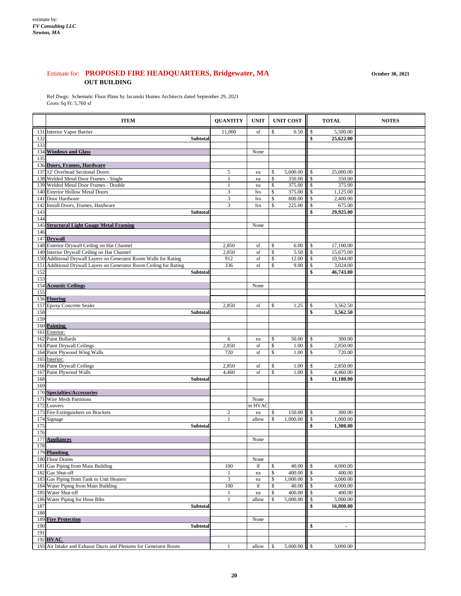|            | <b>ITEM</b>                                                               |                 | <b>QUANTITY</b> | <b>UNIT</b>              |                                 | <b>UNIT COST</b>   |                                          | <b>TOTAL</b>         | <b>NOTES</b> |
|------------|---------------------------------------------------------------------------|-----------------|-----------------|--------------------------|---------------------------------|--------------------|------------------------------------------|----------------------|--------------|
|            | 131 Interior Vapor Barrier                                                |                 | 11,000          | sf                       | \$                              | 0.50               | $\mathcal{S}$                            | 5,500.00             |              |
| 132        |                                                                           | <b>Subtotal</b> |                 |                          |                                 |                    | $\boldsymbol{\$}$                        | 25,622.00            |              |
| 133        |                                                                           |                 |                 |                          |                                 |                    |                                          |                      |              |
|            | 134 Windows and Glass                                                     |                 |                 | None                     |                                 |                    |                                          |                      |              |
| 135        |                                                                           |                 |                 |                          |                                 |                    |                                          |                      |              |
|            | 136 Doors, Frames, Hardware                                               |                 |                 |                          |                                 |                    |                                          |                      |              |
|            | 137 12' Overhead Sectional Doors<br>138 Welded Metal Door Frames - Single |                 | 5               | ea                       | \$<br>$\boldsymbol{\mathsf{S}}$ | 5,000.00<br>350.00 | $\sqrt[6]{\frac{1}{2}}$<br>$\mathcal{S}$ | 25,000.00<br>350.00  |              |
|            | 139 Welded Metal Door Frames - Double                                     |                 |                 | ea<br>ea                 | $\$\,$                          | 375.00             | $\mathcal{S}$                            | 375.00               |              |
|            | 140 Exterior Hollow Metal Doors                                           |                 | 3               | <i>lvs</i>               | $\$$                            | 375.00             | $\mathbb{S}$                             | 1,125.00             |              |
|            | 141 Door Hardware                                                         |                 | 3               | <i>lvs</i>               | $\$$                            | 800.00             | $\mathcal{S}$                            | 2,400.00             |              |
|            | 142 Install Doors, Frames, Hardware                                       |                 | 3               | <i>lvs</i>               | $\$\,$                          | 225.00             | $\mathcal{S}$                            | 675.00               |              |
| 143        |                                                                           | <b>Subtotal</b> |                 |                          |                                 |                    | \$                                       | 29,925.00            |              |
| 144        |                                                                           |                 |                 |                          |                                 |                    |                                          |                      |              |
|            | 145 Structural Light Guage Metal Framing                                  |                 |                 | None                     |                                 |                    |                                          |                      |              |
| 146        |                                                                           |                 |                 |                          |                                 |                    |                                          |                      |              |
|            | 147 Drywall                                                               |                 |                 |                          |                                 |                    |                                          |                      |              |
|            | 148 Exterior Drywall Ceiling on Hat Channel                               |                 | 2,850           | $\sqrt{\text{sf}}$       | \$                              | 6.00               | $\sqrt[6]{\frac{1}{2}}$                  | 17,100.00            |              |
|            | 149 Interior Drywall Ceiling on Hat Channel                               |                 | 2,850           | $\mathrm{sf}$            | $\boldsymbol{\mathsf{S}}$       | 5.50               | $\sqrt$                                  | 15,675.00            |              |
|            | 150 Additional Drywall Layers on Generator Room Walls for Rating          |                 | 912             | sf                       | $\boldsymbol{\mathsf{S}}$       | 12.00              | $\sqrt$                                  | 10,944.00            |              |
| 151        | Additional Drywall Layers on Generator Room Ceiling for Rating            |                 | 336             | sf                       | $\mathcal{S}$                   | 9.00               | $\mathcal{S}$<br>\$                      | 3,024.00             |              |
| 152<br>153 |                                                                           | <b>Subtotal</b> |                 |                          |                                 |                    |                                          | 46,743.00            |              |
|            | 154 Acoustic Ceilings                                                     |                 |                 | None                     |                                 |                    |                                          |                      |              |
| 155        |                                                                           |                 |                 |                          |                                 |                    |                                          |                      |              |
|            | 156 Flooring                                                              |                 |                 |                          |                                 |                    |                                          |                      |              |
| 157        | <b>Epoxy Concrete Sealer</b>                                              |                 | 2,850           | sf                       | $\boldsymbol{\mathsf{S}}$       | 1.25               | $\$\,$                                   | 3,562.50             |              |
| 158        |                                                                           | <b>Subtotal</b> |                 |                          |                                 |                    | $\boldsymbol{\mathsf{S}}$                | 3,562.50             |              |
| 159        |                                                                           |                 |                 |                          |                                 |                    |                                          |                      |              |
|            | 160 Painting                                                              |                 |                 |                          |                                 |                    |                                          |                      |              |
|            | 161 Exterior:                                                             |                 |                 |                          |                                 |                    |                                          |                      |              |
|            | 162 Paint Bollards                                                        |                 | 6               | ea                       | \$                              | 50.00              | $\sqrt$                                  | 300.00               |              |
|            | 163 Paint Drywall Ceilings                                                |                 | 2,850           | sf                       | \$                              | 1.00               | $\$\,$                                   | 2,850.00             |              |
|            | 164 Paint Plywood Wing Walls                                              |                 | 720             | st                       | \$                              | 1.00               | $\parallel$ \$                           | 720.00               |              |
|            | 165 Interior:                                                             |                 |                 |                          |                                 |                    |                                          |                      |              |
|            | 166 Paint Drywall Ceilings<br>167 Paint Plywood Walls                     |                 | 2,850<br>4,460  | $\sqrt{\text{sf}}$<br>sf | \$<br>$\$\,$                    | 1.00<br>1.00       | $\$\,$<br>$\mathcal{S}$                  | 2,850.00<br>4,460.00 |              |
| 168        |                                                                           | <b>Subtotal</b> |                 |                          |                                 |                    | \$                                       | 11,180.00            |              |
| 169        |                                                                           |                 |                 |                          |                                 |                    |                                          |                      |              |
|            | 170 Specialties/Accessories                                               |                 |                 |                          |                                 |                    |                                          |                      |              |
|            | 171 Wire Mesh Partitions                                                  |                 |                 | None                     |                                 |                    |                                          |                      |              |
|            | 172 Louvers                                                               |                 |                 | in HVAC                  |                                 |                    |                                          |                      |              |
|            | 173 Fire Extinguishers on Brackets                                        |                 | $\overline{c}$  | ea                       | \$                              | 150.00             | $\mathcal{S}$                            | 300.00               |              |
|            | 174 Signage                                                               |                 |                 | allow                    | $\mathbb{S}$                    | 1,000.00           | $\$\,$                                   | 1,000.00             |              |
| 175        |                                                                           | <b>Subtotal</b> |                 |                          |                                 |                    | \$                                       | 1,300.00             |              |
| 176        |                                                                           |                 |                 |                          |                                 |                    |                                          |                      |              |
| 178        | 177 Appliances                                                            |                 |                 | None                     |                                 |                    |                                          |                      |              |
|            | 179 Plumbing                                                              |                 |                 |                          |                                 |                    |                                          |                      |              |
|            | 180 Floor Drains                                                          |                 |                 | None                     |                                 |                    |                                          |                      |              |
|            | 181 Gas Piping from Main Building                                         |                 | 100             | lf                       | \$                              | 40.00              | $\sqrt[6]{\frac{1}{2}}$                  | 4,000.00             |              |
|            | 182 Gas Shut-off                                                          |                 | 1               | ea                       | $\$\,$                          | 400.00             | $\mathcal{S}$                            | 400.00               |              |
|            | 183 Gas Piping from Tank to Unit Heaters                                  |                 | 3               | ea                       | $\boldsymbol{\mathsf{S}}$       | 1,000.00           | $\mathbb{S}$                             | 3,000.00             |              |
|            | 184 Water Piping from Main Building                                       |                 | 100             | 1f                       | $\boldsymbol{\mathsf{S}}$       | 40.00              | $\mathcal{S}$                            | 4,000.00             |              |
|            | 185 Water Shut-off                                                        |                 |                 | ea                       | $\boldsymbol{\mathsf{S}}$       | 400.00             | $\mathcal{S}$                            | 400.00               |              |
|            | 186 Water Piping for Hose Bibs                                            |                 | $\mathbf{1}$    | allow                    | $\mathcal{S}$                   | 5,000.00           | $\sqrt$                                  | 5,000.00             |              |
| 187        |                                                                           | <b>Subtotal</b> |                 |                          |                                 |                    | \$                                       | 16,800.00            |              |
| 188        |                                                                           |                 |                 |                          |                                 |                    |                                          |                      |              |
| 190        | 189 Fire Protection                                                       | <b>Subtotal</b> |                 | None                     |                                 |                    | \$                                       |                      |              |
| 191        |                                                                           |                 |                 |                          |                                 |                    |                                          | ٠                    |              |
|            | $192$ HVAC                                                                |                 |                 |                          |                                 |                    |                                          |                      |              |
|            | 193 Air Intake and Exhaust Ducts and Plenums for Generator Room           |                 | $\mathbf{1}$    | allow                    | $\boldsymbol{\mathsf{S}}$       | 5,000.00           | $\mathcal{S}$                            | 5,000.00             |              |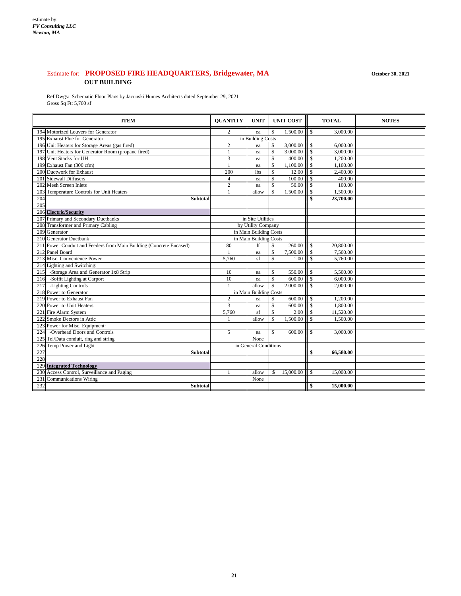|     | <b>ITEM</b>                                                         | <b>QUANTITY</b>        | <b>UNIT</b>            |                           | <b>UNIT COST</b> |               | <b>TOTAL</b> | <b>NOTES</b> |
|-----|---------------------------------------------------------------------|------------------------|------------------------|---------------------------|------------------|---------------|--------------|--------------|
|     | 194 Motorized Louvers for Generator                                 | 2                      | ea                     | $\boldsymbol{\mathsf{S}}$ | 1,500.00         | $\mathbb{S}$  | 3,000.00     |              |
|     | 195 Exhaust Flue for Generator                                      |                        | in Building Costs      |                           |                  |               |              |              |
|     | 196 Unit Heaters for Storage Areas (gas fired)                      | 2                      | ea                     | \$                        | 3,000.00         | \$            | 6,000.00     |              |
|     | 197 Unit Heaters for Generator Room (propane fired)                 |                        | ea                     | \$                        | 3,000.00         | \$            | 3,000.00     |              |
|     | 198 Vent Stacks for UH                                              | 3                      | ea                     | \$                        | 400.00           | $\mathsf{\$}$ | 1,200.00     |              |
|     | 199 Exhaust Fan (300 cfm)                                           |                        | ea                     | \$                        | 1,100.00         | \$            | 1,100.00     |              |
|     | 200 Ductwork for Exhaust                                            | 200                    | <b>lbs</b>             | \$                        | 12.00            | \$            | 2,400.00     |              |
| 201 | <b>Sidewall Diffusers</b>                                           | $\overline{4}$         | ea                     | \$                        | 100.00           | \$            | 400.00       |              |
|     | 202 Mesh Screen Inlets                                              | $\overline{2}$         | ea                     | \$                        | 50.00            | $\mathbb{S}$  | 100.00       |              |
| 203 | Temperature Controls for Unit Heaters                               |                        | allow                  | \$                        | 1,500.00         | $\mathsf{\$}$ | 1,500.00     |              |
| 204 | <b>Subtotal</b>                                                     |                        |                        |                           |                  | \$            | 23,700.00    |              |
| 205 |                                                                     |                        |                        |                           |                  |               |              |              |
|     | 206 Electric/Security                                               |                        |                        |                           |                  |               |              |              |
| 207 | Primary and Secondary Ductbanks                                     |                        | in Site Utilities      |                           |                  |               |              |              |
| 208 | <b>Transformer and Primary Cabling</b>                              |                        | by Utility Company     |                           |                  |               |              |              |
| 209 | Generator                                                           | in Main Building Costs |                        |                           |                  |               |              |              |
|     | 210 Generator Ductbank                                              |                        | in Main Building Costs |                           |                  |               |              |              |
|     | 211 Power Conduit and Feeders from Main Building (Concrete Encased) | 80                     | 1f                     | \$                        | 260.00           | \$            | 20,800.00    |              |
|     | 212 Panel Board                                                     |                        | ea                     | $\boldsymbol{\mathsf{S}}$ | 7,500.00         | $\mathbb{S}$  | 7,500.00     |              |
|     | 213 Misc. Convenience Power                                         | 5,760                  | sf                     | $\boldsymbol{\mathsf{S}}$ | 1.00             | \$            | 5,760.00     |              |
|     | 214 Lighting and Switching:                                         |                        |                        |                           |                  |               |              |              |
| 215 | -Storage Area and Generator 1x8 Strip                               | 10                     | ea                     | \$                        | 550.00           | \$            | 5,500.00     |              |
| 216 | -Soffit Lighting at Carport                                         | 10                     | ea                     | \$                        | 600.00           | $\mathbb{S}$  | 6,000.00     |              |
| 217 | -Lighting Controls                                                  |                        | allow                  | \$                        | 2,000.00         | \$            | 2,000.00     |              |
|     | 218 Power to Generator                                              |                        | in Main Building Costs |                           |                  |               |              |              |
|     | 219 Power to Exhaust Fan                                            | 2                      | ea                     | \$                        | 600.00           | \$            | 1,200.00     |              |
|     | 220 Power to Unit Heaters                                           | 3                      | ea                     | $\boldsymbol{\mathsf{S}}$ | 600.00           | $\mathbb{S}$  | 1,800.00     |              |
|     | 221 Fire Alarm System                                               | 5,760                  | $\sqrt{\text{sf}}$     | $\mathcal{S}$             | 2.00             | \$            | 11,520.00    |              |
| 222 | Smoke Dectors in Attic                                              |                        | allow                  | \$                        | 1,500.00         | $\mathbb{S}$  | 1,500.00     |              |
|     | 223 Power for Misc. Equipment:                                      |                        |                        |                           |                  |               |              |              |
| 224 | -Overhead Doors and Controls                                        | 5                      | ea                     | \$                        | 600.00           | \$            | 3,000.00     |              |
| 225 | Tel/Data conduit, ring and string                                   |                        | None                   |                           |                  |               |              |              |
|     | 226 Temp Power and Light                                            |                        | in General Conditions  |                           |                  |               |              |              |
| 227 | <b>Subtotal</b>                                                     |                        |                        |                           |                  | P             | 66,580.00    |              |
| 228 |                                                                     |                        |                        |                           |                  |               |              |              |
|     | 229 Integrated Technology                                           |                        |                        |                           |                  |               |              |              |
|     | 230 Access Control, Surveillance and Paging                         |                        | allow                  | $\mathbb{S}$              | 15,000.00        | $\mathbb{S}$  | 15,000.00    |              |
| 231 | <b>Communications Wiring</b>                                        |                        | None                   |                           |                  |               |              |              |
| 232 | <b>Subtotal</b>                                                     |                        |                        |                           |                  | \$            | 15,000.00    |              |